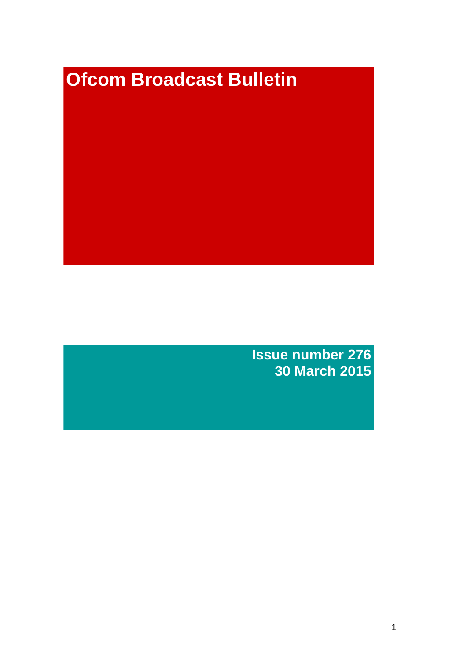# **Ofcom Broadcast Bulletin**

**Issue number 276 30 March 2015**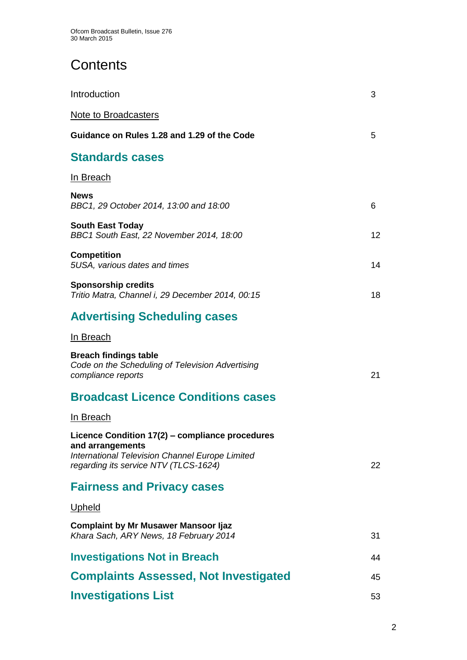# **Contents**

| Introduction                                                                                                                                                    | 3  |
|-----------------------------------------------------------------------------------------------------------------------------------------------------------------|----|
| Note to Broadcasters                                                                                                                                            |    |
| Guidance on Rules 1.28 and 1.29 of the Code                                                                                                                     | 5  |
| <b>Standards cases</b>                                                                                                                                          |    |
| In Breach                                                                                                                                                       |    |
| <b>News</b><br>BBC1, 29 October 2014, 13:00 and 18:00                                                                                                           | 6  |
| <b>South East Today</b><br>BBC1 South East, 22 November 2014, 18:00                                                                                             | 12 |
| <b>Competition</b><br>5USA, various dates and times                                                                                                             | 14 |
| <b>Sponsorship credits</b><br>Tritio Matra, Channel i, 29 December 2014, 00:15                                                                                  | 18 |
| <b>Advertising Scheduling cases</b>                                                                                                                             |    |
| In Breach                                                                                                                                                       |    |
| <b>Breach findings table</b><br>Code on the Scheduling of Television Advertising<br>compliance reports                                                          | 21 |
| <b>Broadcast Licence Conditions cases</b>                                                                                                                       |    |
| In Breach                                                                                                                                                       |    |
| Licence Condition 17(2) - compliance procedures<br>and arrangements<br>International Television Channel Europe Limited<br>regarding its service NTV (TLCS-1624) | 22 |
| <b>Fairness and Privacy cases</b>                                                                                                                               |    |
| <u>Upheld</u>                                                                                                                                                   |    |
| <b>Complaint by Mr Musawer Mansoor Ijaz</b><br>Khara Sach, ARY News, 18 February 2014                                                                           | 31 |
| <b>Investigations Not in Breach</b>                                                                                                                             | 44 |
| <b>Complaints Assessed, Not Investigated</b>                                                                                                                    | 45 |
| <b>Investigations List</b>                                                                                                                                      | 53 |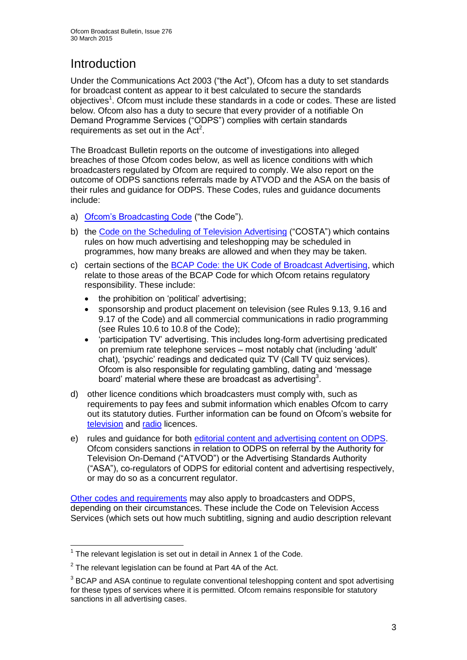# **Introduction**

Under the Communications Act 2003 ("the Act"), Ofcom has a duty to set standards for broadcast content as appear to it best calculated to secure the standards objectives<sup>1</sup>. Ofcom must include these standards in a code or codes. These are listed below. Ofcom also has a duty to secure that every provider of a notifiable On Demand Programme Services ("ODPS") complies with certain standards requirements as set out in the  $Act<sup>2</sup>$ .

The Broadcast Bulletin reports on the outcome of investigations into alleged breaches of those Ofcom codes below, as well as licence conditions with which broadcasters regulated by Ofcom are required to comply. We also report on the outcome of ODPS sanctions referrals made by ATVOD and the ASA on the basis of their rules and guidance for ODPS. These Codes, rules and guidance documents include:

- a) [Ofcom's Broadcasting Code](http://stakeholders.ofcom.org.uk/broadcasting/broadcast-codes/broadcast-code/) ("the Code").
- b) the [Code on the Scheduling of Television Advertising](http://stakeholders.ofcom.org.uk/broadcasting/broadcast-codes/advert-code/) ("COSTA") which contains rules on how much advertising and teleshopping may be scheduled in programmes, how many breaks are allowed and when they may be taken.
- c) certain sections of the [BCAP Code: the UK Code of Broadcast Advertising,](http://www.bcap.org.uk/Advertising-Codes/Broadcast-HTML.aspx) which relate to those areas of the BCAP Code for which Ofcom retains regulatory responsibility. These include:
	- the prohibition on 'political' advertising:
	- sponsorship and product placement on television (see Rules 9.13, 9.16 and 9.17 of the Code) and all commercial communications in radio programming (see Rules 10.6 to 10.8 of the Code);
	- 'participation TV' advertising. This includes long-form advertising predicated on premium rate telephone services – most notably chat (including 'adult' chat), 'psychic' readings and dedicated quiz TV (Call TV quiz services). Ofcom is also responsible for regulating gambling, dating and 'message board' material where these are broadcast as advertising<sup>3</sup>.
- d) other licence conditions which broadcasters must comply with, such as requirements to pay fees and submit information which enables Ofcom to carry out its statutory duties. Further information can be found on Ofcom's website for [television](http://licensing.ofcom.org.uk/tv-broadcast-licences/) and [radio](http://licensing.ofcom.org.uk/radio-broadcast-licensing/) licences.
- e) rules and guidance for both [editorial content and advertising content on ODPS.](http://www.atvod.co.uk/uploads/files/ATVOD_Rules_and_Guidance_Ed_2.0_May_2012.pdf) Ofcom considers sanctions in relation to ODPS on referral by the Authority for Television On-Demand ("ATVOD") or the Advertising Standards Authority ("ASA"), co-regulators of ODPS for editorial content and advertising respectively, or may do so as a concurrent regulator.

[Other codes and requirements](http://stakeholders.ofcom.org.uk/broadcasting/broadcast-codes/) may also apply to broadcasters and ODPS, depending on their circumstances. These include the Code on Television Access Services (which sets out how much subtitling, signing and audio description relevant

<sup>1</sup>  $1$  The relevant legislation is set out in detail in Annex 1 of the Code.

 $2$  The relevant legislation can be found at Part 4A of the Act.

 $3$  BCAP and ASA continue to regulate conventional teleshopping content and spot advertising for these types of services where it is permitted. Ofcom remains responsible for statutory sanctions in all advertising cases.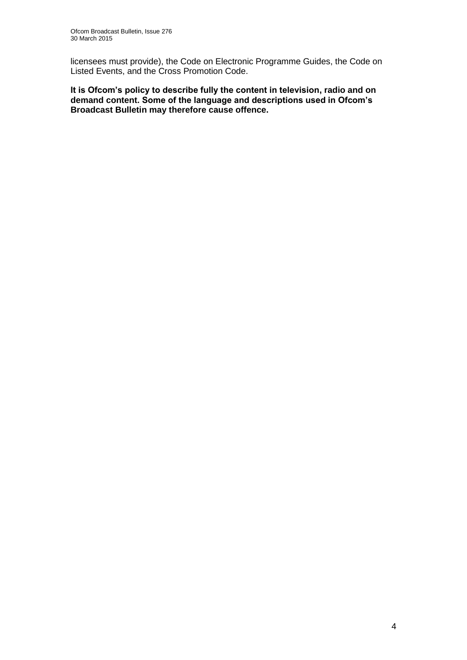licensees must provide), the Code on Electronic Programme Guides, the Code on Listed Events, and the Cross Promotion Code.

**It is Ofcom's policy to describe fully the content in television, radio and on demand content. Some of the language and descriptions used in Ofcom's Broadcast Bulletin may therefore cause offence.**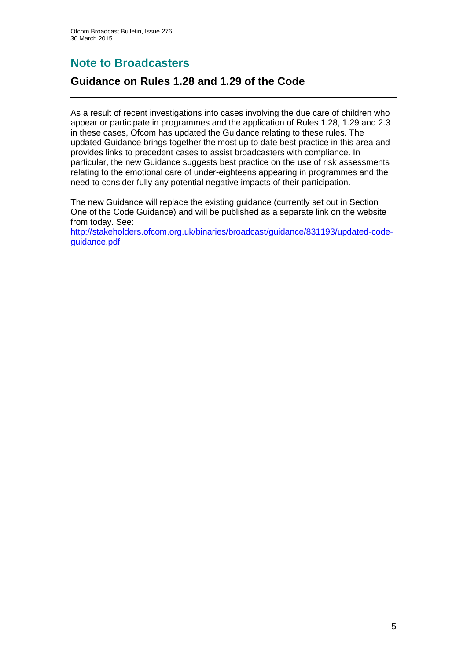# **Note to Broadcasters**

## **Guidance on Rules 1.28 and 1.29 of the Code**

As a result of recent investigations into cases involving the due care of children who appear or participate in programmes and the application of Rules 1.28, 1.29 and 2.3 in these cases, Ofcom has updated the Guidance relating to these rules. The updated Guidance brings together the most up to date best practice in this area and provides links to precedent cases to assist broadcasters with compliance. In particular, the new Guidance suggests best practice on the use of risk assessments relating to the emotional care of under-eighteens appearing in programmes and the need to consider fully any potential negative impacts of their participation.

The new Guidance will replace the existing guidance (currently set out in Section One of the Code Guidance) and will be published as a separate link on the website from today. See:

[http://stakeholders.ofcom.org.uk/binaries/broadcast/guidance/831193/updated-code](http://stakeholders.ofcom.org.uk/binaries/broadcast/guidance/831193/updated-code-guidance.pdf)[guidance.pdf](http://stakeholders.ofcom.org.uk/binaries/broadcast/guidance/831193/updated-code-guidance.pdf)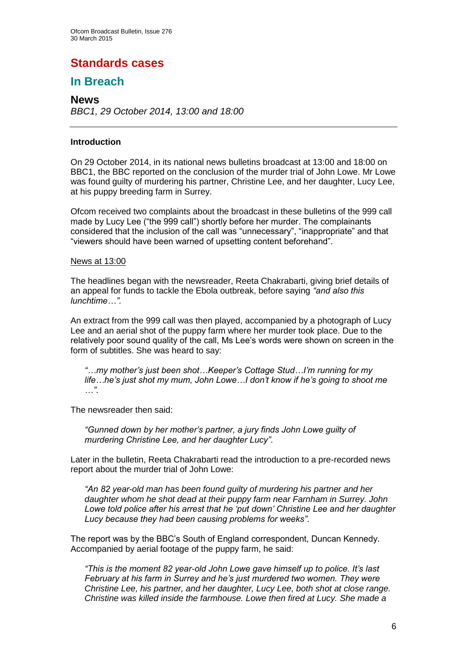## **Standards cases**

## **In Breach**

## **News**

*BBC1, 29 October 2014, 13:00 and 18:00*

#### **Introduction**

On 29 October 2014, in its national news bulletins broadcast at 13:00 and 18:00 on BBC1, the BBC reported on the conclusion of the murder trial of John Lowe. Mr Lowe was found guilty of murdering his partner, Christine Lee, and her daughter, Lucy Lee, at his puppy breeding farm in Surrey.

Ofcom received two complaints about the broadcast in these bulletins of the 999 call made by Lucy Lee ("the 999 call") shortly before her murder. The complainants considered that the inclusion of the call was "unnecessary", "inappropriate" and that "viewers should have been warned of upsetting content beforehand".

#### News at 13:00

The headlines began with the newsreader, Reeta Chakrabarti, giving brief details of an appeal for funds to tackle the Ebola outbreak, before saying *"and also this lunchtime…".* 

An extract from the 999 call was then played, accompanied by a photograph of Lucy Lee and an aerial shot of the puppy farm where her murder took place. Due to the relatively poor sound quality of the call, Ms Lee's words were shown on screen in the form of subtitles. She was heard to say:

*"…my mother's just been shot…Keeper's Cottage Stud…I'm running for my life…he's just shot my mum, John Lowe…I don't know if he's going to shoot me …"*.

The newsreader then said:

*"Gunned down by her mother's partner, a jury finds John Lowe guilty of murdering Christine Lee, and her daughter Lucy"*.

Later in the bulletin, Reeta Chakrabarti read the introduction to a pre-recorded news report about the murder trial of John Lowe:

*"An 82 year-old man has been found guilty of murdering his partner and her daughter whom he shot dead at their puppy farm near Farnham in Surrey. John Lowe told police after his arrest that he 'put down' Christine Lee and her daughter Lucy because they had been causing problems for weeks"*.

The report was by the BBC's South of England correspondent, Duncan Kennedy. Accompanied by aerial footage of the puppy farm, he said:

*"This is the moment 82 year-old John Lowe gave himself up to police. It's last February at his farm in Surrey and he's just murdered two women. They were Christine Lee, his partner, and her daughter, Lucy Lee, both shot at close range. Christine was killed inside the farmhouse. Lowe then fired at Lucy. She made a*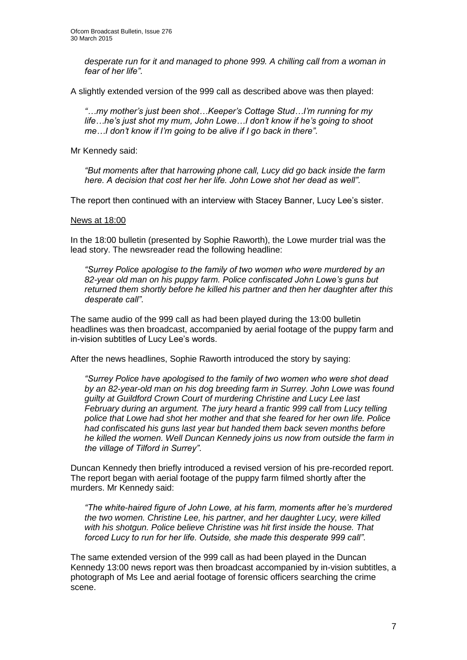*desperate run for it and managed to phone 999. A chilling call from a woman in fear of her life"*.

A slightly extended version of the 999 call as described above was then played:

*"…my mother's just been shot…Keeper's Cottage Stud…I'm running for my life…he's just shot my mum, John Lowe…I don't know if he's going to shoot me…I don't know if I'm going to be alive if I go back in there"*.

Mr Kennedy said:

*"But moments after that harrowing phone call, Lucy did go back inside the farm here. A decision that cost her her life. John Lowe shot her dead as well"*.

The report then continued with an interview with Stacey Banner, Lucy Lee's sister.

#### News at 18:00

In the 18:00 bulletin (presented by Sophie Raworth), the Lowe murder trial was the lead story. The newsreader read the following headline:

*"Surrey Police apologise to the family of two women who were murdered by an 82-year old man on his puppy farm. Police confiscated John Lowe's guns but returned them shortly before he killed his partner and then her daughter after this desperate call"*.

The same audio of the 999 call as had been played during the 13:00 bulletin headlines was then broadcast, accompanied by aerial footage of the puppy farm and in-vision subtitles of Lucy Lee's words.

After the news headlines, Sophie Raworth introduced the story by saying:

*"Surrey Police have apologised to the family of two women who were shot dead by an 82-year-old man on his dog breeding farm in Surrey. John Lowe was found guilty at Guildford Crown Court of murdering Christine and Lucy Lee last February during an argument. The jury heard a frantic 999 call from Lucy telling police that Lowe had shot her mother and that she feared for her own life. Police had confiscated his guns last year but handed them back seven months before he killed the women. Well Duncan Kennedy joins us now from outside the farm in the village of Tilford in Surrey"*.

Duncan Kennedy then briefly introduced a revised version of his pre-recorded report. The report began with aerial footage of the puppy farm filmed shortly after the murders. Mr Kennedy said:

*"The white-haired figure of John Lowe, at his farm, moments after he's murdered the two women. Christine Lee, his partner, and her daughter Lucy, were killed with his shotgun. Police believe Christine was hit first inside the house. That forced Lucy to run for her life. Outside, she made this desperate 999 call"*.

The same extended version of the 999 call as had been played in the Duncan Kennedy 13:00 news report was then broadcast accompanied by in-vision subtitles, a photograph of Ms Lee and aerial footage of forensic officers searching the crime scene.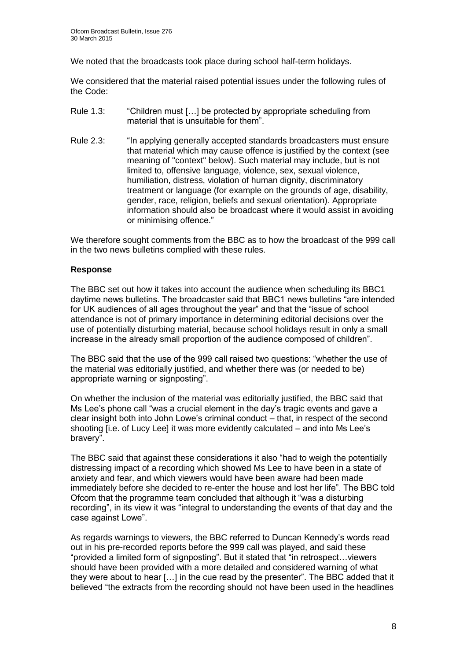We noted that the broadcasts took place during school half-term holidays.

We considered that the material raised potential issues under the following rules of the Code:

- Rule 1.3: "Children must […] be protected by appropriate scheduling from material that is unsuitable for them".
- Rule 2.3: "In applying generally accepted standards broadcasters must ensure that material which may cause offence is justified by the context (see meaning of "context" below). Such material may include, but is not limited to, offensive language, violence, sex, sexual violence, humiliation, distress, violation of human dignity, discriminatory treatment or language (for example on the grounds of age, disability, gender, race, religion, beliefs and sexual orientation). Appropriate information should also be broadcast where it would assist in avoiding or minimising offence."

We therefore sought comments from the BBC as to how the broadcast of the 999 call in the two news bulletins complied with these rules.

#### **Response**

The BBC set out how it takes into account the audience when scheduling its BBC1 daytime news bulletins. The broadcaster said that BBC1 news bulletins "are intended for UK audiences of all ages throughout the year" and that the "issue of school attendance is not of primary importance in determining editorial decisions over the use of potentially disturbing material, because school holidays result in only a small increase in the already small proportion of the audience composed of children".

The BBC said that the use of the 999 call raised two questions: "whether the use of the material was editorially justified, and whether there was (or needed to be) appropriate warning or signposting".

On whether the inclusion of the material was editorially justified, the BBC said that Ms Lee's phone call "was a crucial element in the day's tragic events and gave a clear insight both into John Lowe's criminal conduct – that, in respect of the second shooting [i.e. of Lucy Lee] it was more evidently calculated – and into Ms Lee's bravery".

The BBC said that against these considerations it also "had to weigh the potentially distressing impact of a recording which showed Ms Lee to have been in a state of anxiety and fear, and which viewers would have been aware had been made immediately before she decided to re-enter the house and lost her life". The BBC told Ofcom that the programme team concluded that although it "was a disturbing recording", in its view it was "integral to understanding the events of that day and the case against Lowe".

As regards warnings to viewers, the BBC referred to Duncan Kennedy's words read out in his pre-recorded reports before the 999 call was played, and said these "provided a limited form of signposting". But it stated that "in retrospect…viewers should have been provided with a more detailed and considered warning of what they were about to hear […] in the cue read by the presenter". The BBC added that it believed "the extracts from the recording should not have been used in the headlines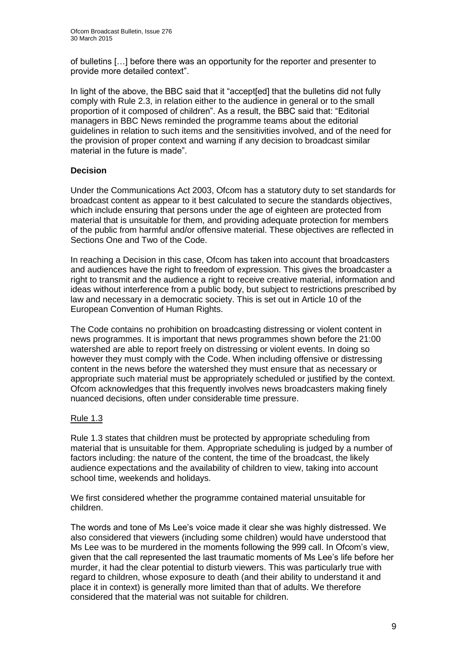of bulletins […] before there was an opportunity for the reporter and presenter to provide more detailed context".

In light of the above, the BBC said that it "accept [ed] that the bulletins did not fully comply with Rule 2.3, in relation either to the audience in general or to the small proportion of it composed of children". As a result, the BBC said that: "Editorial managers in BBC News reminded the programme teams about the editorial guidelines in relation to such items and the sensitivities involved, and of the need for the provision of proper context and warning if any decision to broadcast similar material in the future is made".

## **Decision**

Under the Communications Act 2003, Ofcom has a statutory duty to set standards for broadcast content as appear to it best calculated to secure the standards objectives, which include ensuring that persons under the age of eighteen are protected from material that is unsuitable for them, and providing adequate protection for members of the public from harmful and/or offensive material. These objectives are reflected in Sections One and Two of the Code.

In reaching a Decision in this case, Ofcom has taken into account that broadcasters and audiences have the right to freedom of expression. This gives the broadcaster a right to transmit and the audience a right to receive creative material, information and ideas without interference from a public body, but subject to restrictions prescribed by law and necessary in a democratic society. This is set out in Article 10 of the European Convention of Human Rights.

The Code contains no prohibition on broadcasting distressing or violent content in news programmes. It is important that news programmes shown before the 21:00 watershed are able to report freely on distressing or violent events. In doing so however they must comply with the Code. When including offensive or distressing content in the news before the watershed they must ensure that as necessary or appropriate such material must be appropriately scheduled or justified by the context. Ofcom acknowledges that this frequently involves news broadcasters making finely nuanced decisions, often under considerable time pressure.

## Rule 1.3

Rule 1.3 states that children must be protected by appropriate scheduling from material that is unsuitable for them. Appropriate scheduling is judged by a number of factors including: the nature of the content, the time of the broadcast, the likely audience expectations and the availability of children to view, taking into account school time, weekends and holidays.

We first considered whether the programme contained material unsuitable for children.

The words and tone of Ms Lee's voice made it clear she was highly distressed. We also considered that viewers (including some children) would have understood that Ms Lee was to be murdered in the moments following the 999 call. In Ofcom's view, given that the call represented the last traumatic moments of Ms Lee's life before her murder, it had the clear potential to disturb viewers. This was particularly true with regard to children, whose exposure to death (and their ability to understand it and place it in context) is generally more limited than that of adults. We therefore considered that the material was not suitable for children.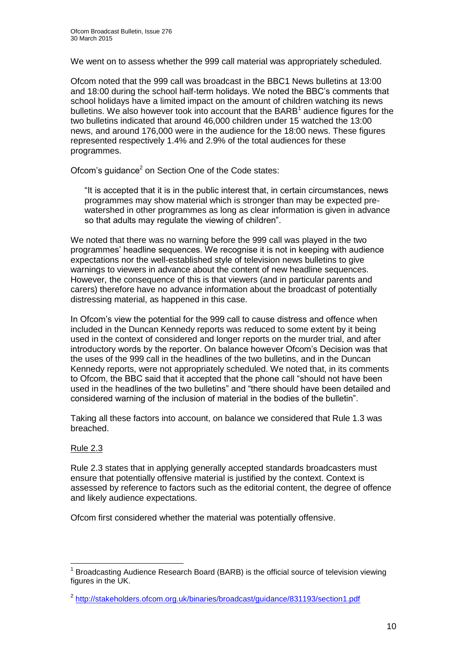We went on to assess whether the 999 call material was appropriately scheduled.

Ofcom noted that the 999 call was broadcast in the BBC1 News bulletins at 13:00 and 18:00 during the school half-term holidays. We noted the BBC's comments that school holidays have a limited impact on the amount of children watching its news bulletins. We also however took into account that the BARB $<sup>1</sup>$  audience figures for the</sup> two bulletins indicated that around 46,000 children under 15 watched the 13:00 news, and around 176,000 were in the audience for the 18:00 news. These figures represented respectively 1.4% and 2.9% of the total audiences for these programmes.

Ofcom's guidance<sup>2</sup> on Section One of the Code states:

"It is accepted that it is in the public interest that, in certain circumstances, news programmes may show material which is stronger than may be expected prewatershed in other programmes as long as clear information is given in advance so that adults may regulate the viewing of children".

We noted that there was no warning before the 999 call was played in the two programmes' headline sequences. We recognise it is not in keeping with audience expectations nor the well-established style of television news bulletins to give warnings to viewers in advance about the content of new headline sequences. However, the consequence of this is that viewers (and in particular parents and carers) therefore have no advance information about the broadcast of potentially distressing material, as happened in this case.

In Ofcom's view the potential for the 999 call to cause distress and offence when included in the Duncan Kennedy reports was reduced to some extent by it being used in the context of considered and longer reports on the murder trial, and after introductory words by the reporter. On balance however Ofcom's Decision was that the uses of the 999 call in the headlines of the two bulletins, and in the Duncan Kennedy reports, were not appropriately scheduled. We noted that, in its comments to Ofcom, the BBC said that it accepted that the phone call "should not have been used in the headlines of the two bulletins" and "there should have been detailed and considered warning of the inclusion of material in the bodies of the bulletin".

Taking all these factors into account, on balance we considered that Rule 1.3 was breached.

## Rule 2.3

Rule 2.3 states that in applying generally accepted standards broadcasters must ensure that potentially offensive material is justified by the context. Context is assessed by reference to factors such as the editorial content, the degree of offence and likely audience expectations.

Ofcom first considered whether the material was potentially offensive.

<sup>1</sup> 1 Broadcasting Audience Research Board (BARB) is the official source of television viewing figures in the UK.

<sup>&</sup>lt;sup>2</sup> <http://stakeholders.ofcom.org.uk/binaries/broadcast/guidance/831193/section1.pdf>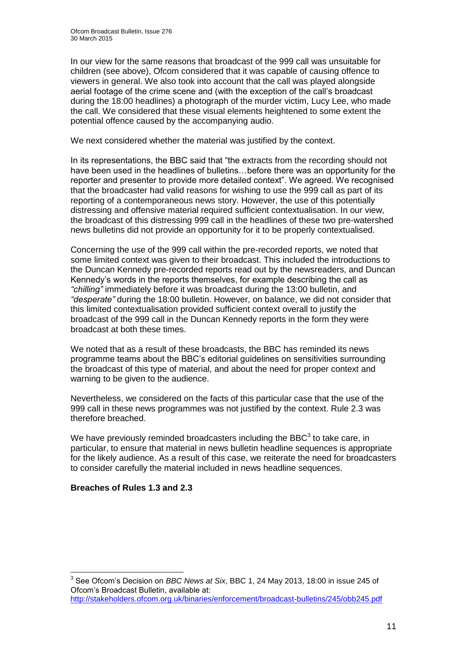In our view for the same reasons that broadcast of the 999 call was unsuitable for children (see above), Ofcom considered that it was capable of causing offence to viewers in general. We also took into account that the call was played alongside aerial footage of the crime scene and (with the exception of the call's broadcast during the 18:00 headlines) a photograph of the murder victim, Lucy Lee, who made the call. We considered that these visual elements heightened to some extent the potential offence caused by the accompanying audio.

We next considered whether the material was justified by the context.

In its representations, the BBC said that "the extracts from the recording should not have been used in the headlines of bulletins…before there was an opportunity for the reporter and presenter to provide more detailed context". We agreed. We recognised that the broadcaster had valid reasons for wishing to use the 999 call as part of its reporting of a contemporaneous news story. However, the use of this potentially distressing and offensive material required sufficient contextualisation. In our view, the broadcast of this distressing 999 call in the headlines of these two pre-watershed news bulletins did not provide an opportunity for it to be properly contextualised.

Concerning the use of the 999 call within the pre-recorded reports, we noted that some limited context was given to their broadcast. This included the introductions to the Duncan Kennedy pre-recorded reports read out by the newsreaders, and Duncan Kennedy's words in the reports themselves, for example describing the call as *"chilling"* immediately before it was broadcast during the 13:00 bulletin, and *"desperate"* during the 18:00 bulletin. However, on balance, we did not consider that this limited contextualisation provided sufficient context overall to justify the broadcast of the 999 call in the Duncan Kennedy reports in the form they were broadcast at both these times.

We noted that as a result of these broadcasts, the BBC has reminded its news programme teams about the BBC's editorial guidelines on sensitivities surrounding the broadcast of this type of material, and about the need for proper context and warning to be given to the audience.

Nevertheless, we considered on the facts of this particular case that the use of the 999 call in these news programmes was not justified by the context. Rule 2.3 was therefore breached.

We have previously reminded broadcasters including the BBC $^3$  to take care, in particular, to ensure that material in news bulletin headline sequences is appropriate for the likely audience. As a result of this case, we reiterate the need for broadcasters to consider carefully the material included in news headline sequences.

## **Breaches of Rules 1.3 and 2.3**

 3 See Ofcom's Decision on *BBC News at Six*, BBC 1, 24 May 2013, 18:00 in issue 245 of Ofcom's Broadcast Bulletin, available at: <http://stakeholders.ofcom.org.uk/binaries/enforcement/broadcast-bulletins/245/obb245.pdf>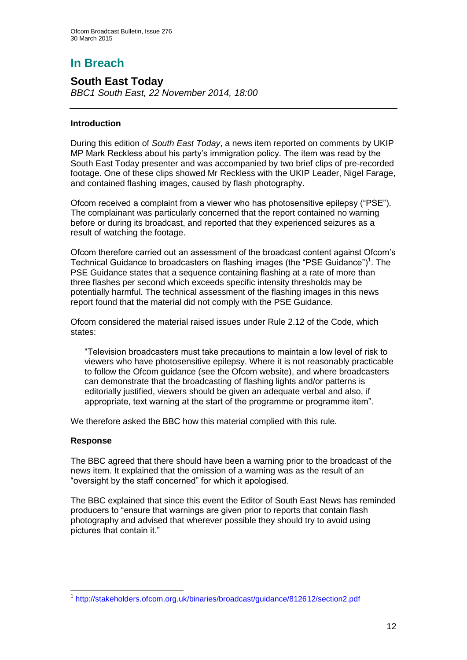# **In Breach**

## **South East Today**

*BBC1 South East, 22 November 2014, 18:00*

## **Introduction**

During this edition of *South East Today*, a news item reported on comments by UKIP MP Mark Reckless about his party's immigration policy. The item was read by the South East Today presenter and was accompanied by two brief clips of pre-recorded footage. One of these clips showed Mr Reckless with the UKIP Leader, Nigel Farage, and contained flashing images, caused by flash photography.

Ofcom received a complaint from a viewer who has photosensitive epilepsy ("PSE"). The complainant was particularly concerned that the report contained no warning before or during its broadcast, and reported that they experienced seizures as a result of watching the footage.

Ofcom therefore carried out an assessment of the broadcast content against Ofcom's Technical Guidance to broadcasters on flashing images (the "PSE Guidance")<sup>1</sup>. The PSE Guidance states that a sequence containing flashing at a rate of more than three flashes per second which exceeds specific intensity thresholds may be potentially harmful. The technical assessment of the flashing images in this news report found that the material did not comply with the PSE Guidance.

Ofcom considered the material raised issues under Rule 2.12 of the Code, which states:

"Television broadcasters must take precautions to maintain a low level of risk to viewers who have photosensitive epilepsy. Where it is not reasonably practicable to follow the Ofcom guidance (see the Ofcom website), and where broadcasters can demonstrate that the broadcasting of flashing lights and/or patterns is editorially justified, viewers should be given an adequate verbal and also, if appropriate, text warning at the start of the programme or programme item".

We therefore asked the BBC how this material complied with this rule.

## **Response**

The BBC agreed that there should have been a warning prior to the broadcast of the news item. It explained that the omission of a warning was as the result of an "oversight by the staff concerned" for which it apologised.

The BBC explained that since this event the Editor of South East News has reminded producers to "ensure that warnings are given prior to reports that contain flash photography and advised that wherever possible they should try to avoid using pictures that contain it."

<sup>1</sup> 1 <http://stakeholders.ofcom.org.uk/binaries/broadcast/guidance/812612/section2.pdf>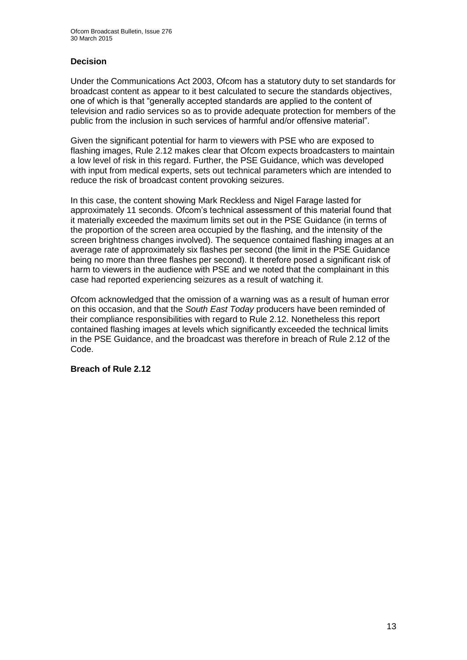## **Decision**

Under the Communications Act 2003, Ofcom has a statutory duty to set standards for broadcast content as appear to it best calculated to secure the standards objectives, one of which is that "generally accepted standards are applied to the content of television and radio services so as to provide adequate protection for members of the public from the inclusion in such services of harmful and/or offensive material".

Given the significant potential for harm to viewers with PSE who are exposed to flashing images, Rule 2.12 makes clear that Ofcom expects broadcasters to maintain a low level of risk in this regard. Further, the PSE Guidance, which was developed with input from medical experts, sets out technical parameters which are intended to reduce the risk of broadcast content provoking seizures.

In this case, the content showing Mark Reckless and Nigel Farage lasted for approximately 11 seconds. Ofcom's technical assessment of this material found that it materially exceeded the maximum limits set out in the PSE Guidance (in terms of the proportion of the screen area occupied by the flashing, and the intensity of the screen brightness changes involved). The sequence contained flashing images at an average rate of approximately six flashes per second (the limit in the PSE Guidance being no more than three flashes per second). It therefore posed a significant risk of harm to viewers in the audience with PSE and we noted that the complainant in this case had reported experiencing seizures as a result of watching it.

Ofcom acknowledged that the omission of a warning was as a result of human error on this occasion, and that the *South East Today* producers have been reminded of their compliance responsibilities with regard to Rule 2.12. Nonetheless this report contained flashing images at levels which significantly exceeded the technical limits in the PSE Guidance, and the broadcast was therefore in breach of Rule 2.12 of the Code.

**Breach of Rule 2.12**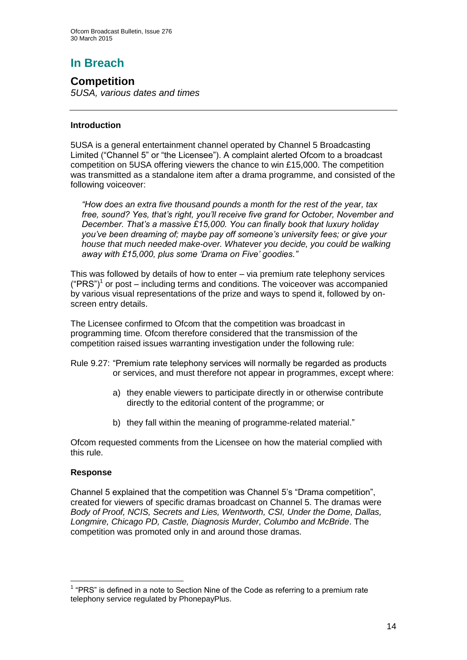# **In Breach**

**Competition** *5USA, various dates and times*

## **Introduction**

5USA is a general entertainment channel operated by Channel 5 Broadcasting Limited ("Channel 5" or "the Licensee"). A complaint alerted Ofcom to a broadcast competition on 5USA offering viewers the chance to win £15,000. The competition was transmitted as a standalone item after a drama programme, and consisted of the following voiceover:

*"How does an extra five thousand pounds a month for the rest of the year, tax free, sound? Yes, that's right, you'll receive five grand for October, November and December. That's a massive £15,000. You can finally book that luxury holiday you've been dreaming of; maybe pay off someone's university fees; or give your house that much needed make-over. Whatever you decide, you could be walking away with £15,000, plus some 'Drama on Five' goodies."*

This was followed by details of how to enter – via premium rate telephony services  $("PRS")<sup>1</sup>$  or post – including terms and conditions. The voiceover was accompanied by various visual representations of the prize and ways to spend it, followed by onscreen entry details.

The Licensee confirmed to Ofcom that the competition was broadcast in programming time. Ofcom therefore considered that the transmission of the competition raised issues warranting investigation under the following rule:

- Rule 9.27: "Premium rate telephony services will normally be regarded as products or services, and must therefore not appear in programmes, except where:
	- a) they enable viewers to participate directly in or otherwise contribute directly to the editorial content of the programme; or
	- b) they fall within the meaning of programme-related material."

Ofcom requested comments from the Licensee on how the material complied with this rule.

## **Response**

1

Channel 5 explained that the competition was Channel 5's "Drama competition", created for viewers of specific dramas broadcast on Channel 5. The dramas were *Body of Proof, NCIS, Secrets and Lies, Wentworth, CSI, Under the Dome, Dallas, Longmire, Chicago PD, Castle, Diagnosis Murder, Columbo and McBride*. The competition was promoted only in and around those dramas.

 $1$  "PRS" is defined in a note to Section Nine of the Code as referring to a premium rate telephony service regulated by PhonepayPlus.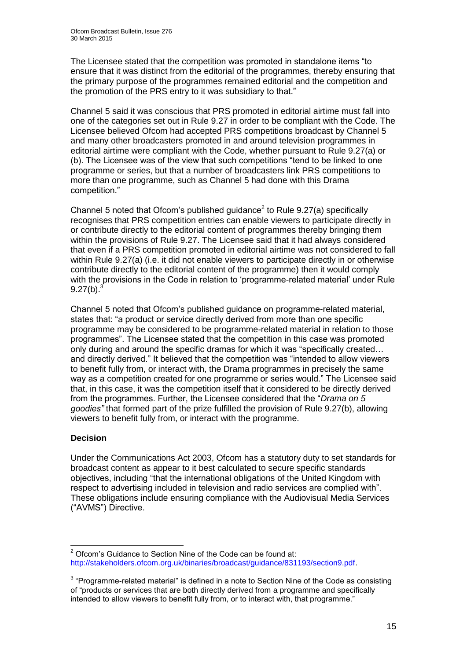The Licensee stated that the competition was promoted in standalone items "to ensure that it was distinct from the editorial of the programmes, thereby ensuring that the primary purpose of the programmes remained editorial and the competition and the promotion of the PRS entry to it was subsidiary to that."

Channel 5 said it was conscious that PRS promoted in editorial airtime must fall into one of the categories set out in Rule 9.27 in order to be compliant with the Code. The Licensee believed Ofcom had accepted PRS competitions broadcast by Channel 5 and many other broadcasters promoted in and around television programmes in editorial airtime were compliant with the Code, whether pursuant to Rule 9.27(a) or (b). The Licensee was of the view that such competitions "tend to be linked to one programme or series, but that a number of broadcasters link PRS competitions to more than one programme, such as Channel 5 had done with this Drama competition."

Channel 5 noted that Ofcom's published guidance<sup>2</sup> to Rule 9.27(a) specifically recognises that PRS competition entries can enable viewers to participate directly in or contribute directly to the editorial content of programmes thereby bringing them within the provisions of Rule 9.27. The Licensee said that it had always considered that even if a PRS competition promoted in editorial airtime was not considered to fall within Rule 9.27(a) (i.e. it did not enable viewers to participate directly in or otherwise contribute directly to the editorial content of the programme) then it would comply with the provisions in the Code in relation to 'programme-related material' under Rule  $9.27(b).$ <sup>3</sup>

Channel 5 noted that Ofcom's published guidance on programme-related material, states that: "a product or service directly derived from more than one specific programme may be considered to be programme-related material in relation to those programmes". The Licensee stated that the competition in this case was promoted only during and around the specific dramas for which it was "specifically created… and directly derived." It believed that the competition was "intended to allow viewers to benefit fully from, or interact with, the Drama programmes in precisely the same way as a competition created for one programme or series would." The Licensee said that, in this case, it was the competition itself that it considered to be directly derived from the programmes. Further, the Licensee considered that the "*Drama on 5 goodies"* that formed part of the prize fulfilled the provision of Rule 9.27(b), allowing viewers to benefit fully from, or interact with the programme.

## **Decision**

Under the Communications Act 2003, Ofcom has a statutory duty to set standards for broadcast content as appear to it best calculated to secure specific standards objectives, including "that the international obligations of the United Kingdom with respect to advertising included in television and radio services are complied with". These obligations include ensuring compliance with the Audiovisual Media Services ("AVMS") Directive.

<sup>1</sup>  $2$  Ofcom's Guidance to Section Nine of the Code can be found at: [http://stakeholders.ofcom.org.uk/binaries/broadcast/guidance/831193/section9.pdf.](http://stakeholders.ofcom.org.uk/binaries/broadcast/guidance/831193/section9.pdf)

 $3$  "Programme-related material" is defined in a note to Section Nine of the Code as consisting of "products or services that are both directly derived from a programme and specifically intended to allow viewers to benefit fully from, or to interact with, that programme."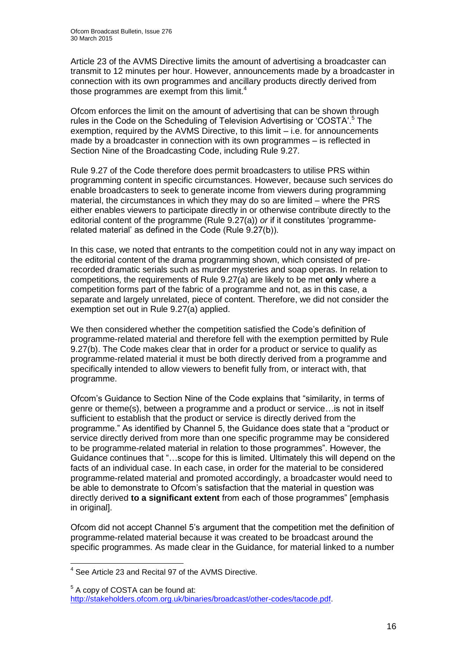Article 23 of the AVMS Directive limits the amount of advertising a broadcaster can transmit to 12 minutes per hour. However, announcements made by a broadcaster in connection with its own programmes and ancillary products directly derived from those programmes are exempt from this limit.<sup>4</sup>

Ofcom enforces the limit on the amount of advertising that can be shown through rules in the Code on the Scheduling of Television Advertising or 'COSTA'.<sup>5</sup> The exemption, required by the AVMS Directive, to this limit – i.e. for announcements made by a broadcaster in connection with its own programmes – is reflected in Section Nine of the Broadcasting Code, including Rule 9.27.

Rule 9.27 of the Code therefore does permit broadcasters to utilise PRS within programming content in specific circumstances. However, because such services do enable broadcasters to seek to generate income from viewers during programming material, the circumstances in which they may do so are limited – where the PRS either enables viewers to participate directly in or otherwise contribute directly to the editorial content of the programme (Rule 9.27(a)) *or* if it constitutes 'programmerelated material' as defined in the Code (Rule 9.27(b)).

In this case, we noted that entrants to the competition could not in any way impact on the editorial content of the drama programming shown, which consisted of prerecorded dramatic serials such as murder mysteries and soap operas. In relation to competitions, the requirements of Rule 9.27(a) are likely to be met **only** where a competition forms part of the fabric of a programme and not, as in this case, a separate and largely unrelated, piece of content. Therefore, we did not consider the exemption set out in Rule 9.27(a) applied.

We then considered whether the competition satisfied the Code's definition of programme-related material and therefore fell with the exemption permitted by Rule 9.27(b). The Code makes clear that in order for a product or service to qualify as programme-related material it must be both directly derived from a programme and specifically intended to allow viewers to benefit fully from, or interact with, that programme.

Ofcom's Guidance to Section Nine of the Code explains that "similarity, in terms of genre or theme(s), between a programme and a product or service…is not in itself sufficient to establish that the product or service is directly derived from the programme." As identified by Channel 5, the Guidance does state that a "product or service directly derived from more than one specific programme may be considered to be programme-related material in relation to those programmes". However, the Guidance continues that "…scope for this is limited. Ultimately this will depend on the facts of an individual case. In each case, in order for the material to be considered programme-related material and promoted accordingly, a broadcaster would need to be able to demonstrate to Ofcom's satisfaction that the material in question was directly derived **to a significant extent** from each of those programmes" [emphasis in original].

Ofcom did not accept Channel 5's argument that the competition met the definition of programme-related material because it was created to be broadcast around the specific programmes. As made clear in the Guidance, for material linked to a number

<sup>1</sup> <sup>4</sup> See Article 23 and Recital 97 of the AVMS Directive.

<sup>&</sup>lt;sup>5</sup> A copy of COSTA can be found at: [http://stakeholders.ofcom.org.uk/binaries/broadcast/other-codes/tacode.pdf.](http://stakeholders.ofcom.org.uk/binaries/broadcast/other-codes/tacode.pdf)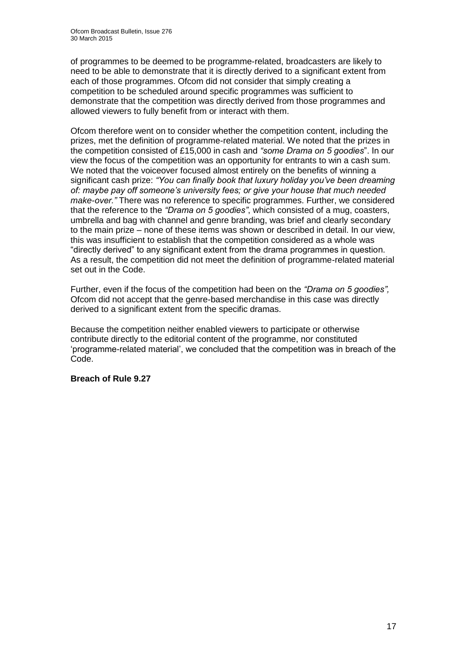of programmes to be deemed to be programme-related, broadcasters are likely to need to be able to demonstrate that it is directly derived to a significant extent from each of those programmes. Ofcom did not consider that simply creating a competition to be scheduled around specific programmes was sufficient to demonstrate that the competition was directly derived from those programmes and allowed viewers to fully benefit from or interact with them.

Ofcom therefore went on to consider whether the competition content, including the prizes, met the definition of programme-related material. We noted that the prizes in the competition consisted of £15,000 in cash and *"some Drama on 5 goodies*". In our view the focus of the competition was an opportunity for entrants to win a cash sum. We noted that the voiceover focused almost entirely on the benefits of winning a significant cash prize: *"You can finally book that luxury holiday you've been dreaming of: maybe pay off someone's university fees; or give your house that much needed make-over."* There was no reference to specific programmes. Further, we considered that the reference to the *"Drama on 5 goodies"*, which consisted of a mug, coasters, umbrella and bag with channel and genre branding, was brief and clearly secondary to the main prize – none of these items was shown or described in detail. In our view, this was insufficient to establish that the competition considered as a whole was "directly derived" to any significant extent from the drama programmes in question. As a result, the competition did not meet the definition of programme-related material set out in the Code.

Further, even if the focus of the competition had been on the *"Drama on 5 goodies",* Ofcom did not accept that the genre-based merchandise in this case was directly derived to a significant extent from the specific dramas.

Because the competition neither enabled viewers to participate or otherwise contribute directly to the editorial content of the programme, nor constituted 'programme-related material', we concluded that the competition was in breach of the Code.

## **Breach of Rule 9.27**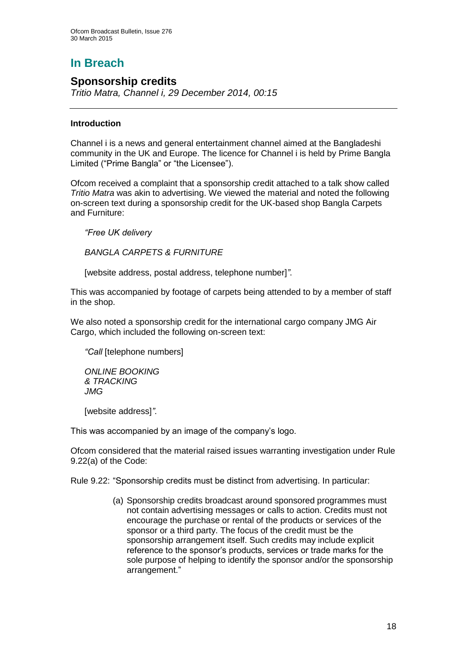# **In Breach**

## **Sponsorship credits**

*Tritio Matra, Channel i, 29 December 2014, 00:15*

## **Introduction**

Channel i is a news and general entertainment channel aimed at the Bangladeshi community in the UK and Europe. The licence for Channel i is held by Prime Bangla Limited ("Prime Bangla" or "the Licensee").

Ofcom received a complaint that a sponsorship credit attached to a talk show called *Tritio Matra* was akin to advertising. We viewed the material and noted the following on-screen text during a sponsorship credit for the UK-based shop Bangla Carpets and Furniture:

*"Free UK delivery*

*BANGLA CARPETS & FURNITURE*

[website address, postal address, telephone number]*"*.

This was accompanied by footage of carpets being attended to by a member of staff in the shop.

We also noted a sponsorship credit for the international cargo company JMG Air Cargo, which included the following on-screen text:

*"Call* [telephone numbers]

*ONLINE BOOKING & TRACKING JMG*

[website address]*"*.

This was accompanied by an image of the company's logo.

Ofcom considered that the material raised issues warranting investigation under Rule 9.22(a) of the Code:

Rule 9.22: "Sponsorship credits must be distinct from advertising. In particular:

(a) Sponsorship credits broadcast around sponsored programmes must not contain advertising messages or calls to action. Credits must not encourage the purchase or rental of the products or services of the sponsor or a third party. The focus of the credit must be the sponsorship arrangement itself. Such credits may include explicit reference to the sponsor's products, services or trade marks for the sole purpose of helping to identify the sponsor and/or the sponsorship arrangement."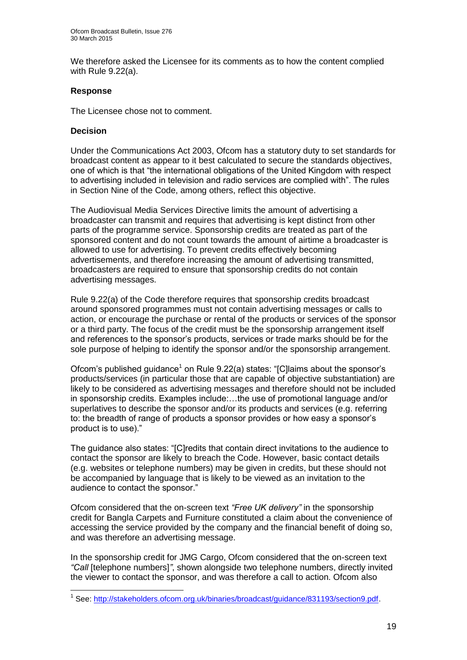We therefore asked the Licensee for its comments as to how the content complied with Rule 9.22(a).

#### **Response**

The Licensee chose not to comment.

#### **Decision**

1

Under the Communications Act 2003, Ofcom has a statutory duty to set standards for broadcast content as appear to it best calculated to secure the standards objectives, one of which is that "the international obligations of the United Kingdom with respect to advertising included in television and radio services are complied with". The rules in Section Nine of the Code, among others, reflect this objective.

The Audiovisual Media Services Directive limits the amount of advertising a broadcaster can transmit and requires that advertising is kept distinct from other parts of the programme service. Sponsorship credits are treated as part of the sponsored content and do not count towards the amount of airtime a broadcaster is allowed to use for advertising. To prevent credits effectively becoming advertisements, and therefore increasing the amount of advertising transmitted, broadcasters are required to ensure that sponsorship credits do not contain advertising messages.

Rule 9.22(a) of the Code therefore requires that sponsorship credits broadcast around sponsored programmes must not contain advertising messages or calls to action, or encourage the purchase or rental of the products or services of the sponsor or a third party. The focus of the credit must be the sponsorship arrangement itself and references to the sponsor's products, services or trade marks should be for the sole purpose of helping to identify the sponsor and/or the sponsorship arrangement.

Ofcom's published guidance<sup>1</sup> on Rule  $9.22(a)$  states: "[C]laims about the sponsor's products/services (in particular those that are capable of objective substantiation) are likely to be considered as advertising messages and therefore should not be included in sponsorship credits. Examples include:…the use of promotional language and/or superlatives to describe the sponsor and/or its products and services (e.g. referring to: the breadth of range of products a sponsor provides or how easy a sponsor's product is to use)."

The guidance also states: "[C]redits that contain direct invitations to the audience to contact the sponsor are likely to breach the Code. However, basic contact details (e.g. websites or telephone numbers) may be given in credits, but these should not be accompanied by language that is likely to be viewed as an invitation to the audience to contact the sponsor."

Ofcom considered that the on-screen text *"Free UK delivery"* in the sponsorship credit for Bangla Carpets and Furniture constituted a claim about the convenience of accessing the service provided by the company and the financial benefit of doing so, and was therefore an advertising message.

In the sponsorship credit for JMG Cargo, Ofcom considered that the on-screen text *"Call* [telephone numbers]*"*, shown alongside two telephone numbers, directly invited the viewer to contact the sponsor, and was therefore a call to action. Ofcom also

<sup>&</sup>lt;sup>1</sup> See: [http://stakeholders.ofcom.org.uk/binaries/broadcast/guidance/831193/section9.pdf.](http://stakeholders.ofcom.org.uk/binaries/broadcast/guidance/831193/section9.pdf)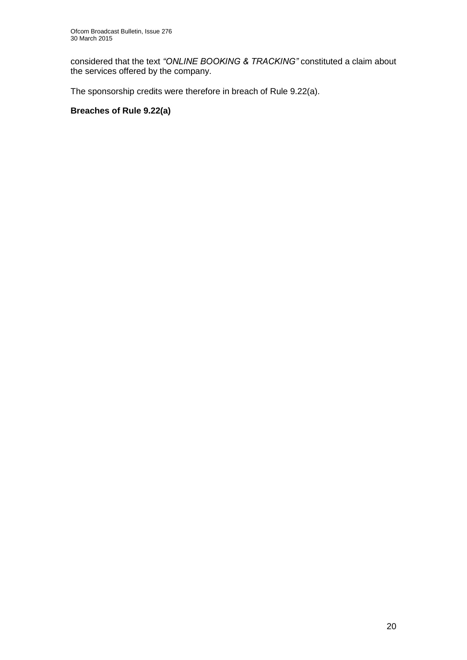considered that the text *"ONLINE BOOKING & TRACKING"* constituted a claim about the services offered by the company.

The sponsorship credits were therefore in breach of Rule 9.22(a).

## **Breaches of Rule 9.22(a)**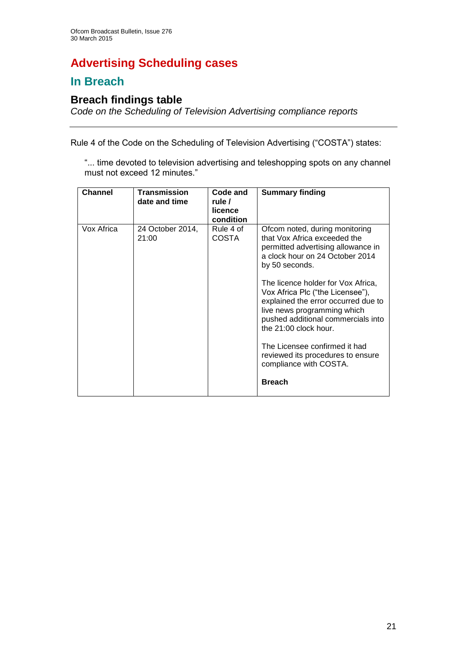# **Advertising Scheduling cases**

## **In Breach**

## **Breach findings table**

*Code on the Scheduling of Television Advertising compliance reports*

Rule 4 of the Code on the Scheduling of Television Advertising ("COSTA") states:

"... time devoted to television advertising and teleshopping spots on any channel must not exceed 12 minutes."

| <b>Channel</b> | Transmission<br>date and time | Code and<br>rule /<br>licence<br>condition | <b>Summary finding</b>                                                                                                                                                                                                                                                                                                                                                                                                                                                                    |
|----------------|-------------------------------|--------------------------------------------|-------------------------------------------------------------------------------------------------------------------------------------------------------------------------------------------------------------------------------------------------------------------------------------------------------------------------------------------------------------------------------------------------------------------------------------------------------------------------------------------|
| Vox Africa     | 24 October 2014,<br>21:00     | Rule 4 of<br><b>COSTA</b>                  | Ofcom noted, during monitoring<br>that Vox Africa exceeded the<br>permitted advertising allowance in<br>a clock hour on 24 October 2014<br>by 50 seconds.<br>The licence holder for Vox Africa,<br>Vox Africa Plc ("the Licensee"),<br>explained the error occurred due to<br>live news programming which<br>pushed additional commercials into<br>the 21:00 clock hour.<br>The Licensee confirmed it had<br>reviewed its procedures to ensure<br>compliance with COSTA.<br><b>Breach</b> |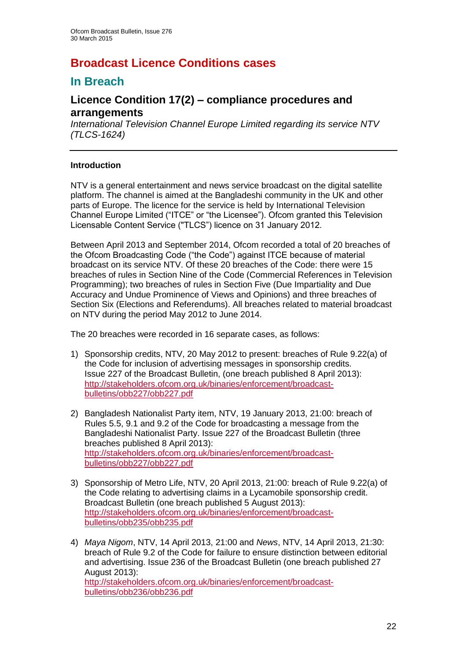# **Broadcast Licence Conditions cases**

## **In Breach**

## **Licence Condition 17(2) – compliance procedures and arrangements**

*International Television Channel Europe Limited regarding its service NTV (TLCS-1624)*

## **Introduction**

NTV is a general entertainment and news service broadcast on the digital satellite platform. The channel is aimed at the Bangladeshi community in the UK and other parts of Europe. The licence for the service is held by International Television Channel Europe Limited ("ITCE" or "the Licensee"). Ofcom granted this Television Licensable Content Service ("TLCS") licence on 31 January 2012.

Between April 2013 and September 2014, Ofcom recorded a total of 20 breaches of the Ofcom Broadcasting Code ("the Code") against ITCE because of material broadcast on its service NTV. Of these 20 breaches of the Code: there were 15 breaches of rules in Section Nine of the Code (Commercial References in Television Programming); two breaches of rules in Section Five (Due Impartiality and Due Accuracy and Undue Prominence of Views and Opinions) and three breaches of Section Six (Elections and Referendums). All breaches related to material broadcast on NTV during the period May 2012 to June 2014.

The 20 breaches were recorded in 16 separate cases, as follows:

- 1) Sponsorship credits, NTV, 20 May 2012 to present: breaches of Rule 9.22(a) of the Code for inclusion of advertising messages in sponsorship credits. Issue 227 of the Broadcast Bulletin, (one breach published 8 April 2013): [http://stakeholders.ofcom.org.uk/binaries/enforcement/broadcast](http://stakeholders.ofcom.org.uk/binaries/enforcement/broadcast-bulletins/obb227/obb227.pdf)[bulletins/obb227/obb227.pdf](http://stakeholders.ofcom.org.uk/binaries/enforcement/broadcast-bulletins/obb227/obb227.pdf)
- 2) Bangladesh Nationalist Party item, NTV, 19 January 2013, 21:00: breach of Rules 5.5, 9.1 and 9.2 of the Code for broadcasting a message from the Bangladeshi Nationalist Party. Issue 227 of the Broadcast Bulletin (three breaches published 8 April 2013): [http://stakeholders.ofcom.org.uk/binaries/enforcement/broadcast](http://stakeholders.ofcom.org.uk/binaries/enforcement/broadcast-bulletins/obb227/obb227.pdf)[bulletins/obb227/obb227.pdf](http://stakeholders.ofcom.org.uk/binaries/enforcement/broadcast-bulletins/obb227/obb227.pdf)
- 3) Sponsorship of Metro Life, NTV, 20 April 2013, 21:00: breach of Rule 9.22(a) of the Code relating to advertising claims in a Lycamobile sponsorship credit. Broadcast Bulletin (one breach published 5 August 2013): [http://stakeholders.ofcom.org.uk/binaries/enforcement/broadcast](http://stakeholders.ofcom.org.uk/binaries/enforcement/broadcast-bulletins/obb235/obb235.pdf)[bulletins/obb235/obb235.pdf](http://stakeholders.ofcom.org.uk/binaries/enforcement/broadcast-bulletins/obb235/obb235.pdf)
- 4) *Maya Nigom*, NTV, 14 April 2013, 21:00 and *News*, NTV, 14 April 2013, 21:30: breach of Rule 9.2 of the Code for failure to ensure distinction between editorial and advertising. Issue 236 of the Broadcast Bulletin (one breach published 27 August 2013): [http://stakeholders.ofcom.org.uk/binaries/enforcement/broadcast](http://stakeholders.ofcom.org.uk/binaries/enforcement/broadcast-bulletins/obb236/obb236.pdf)[bulletins/obb236/obb236.pdf](http://stakeholders.ofcom.org.uk/binaries/enforcement/broadcast-bulletins/obb236/obb236.pdf)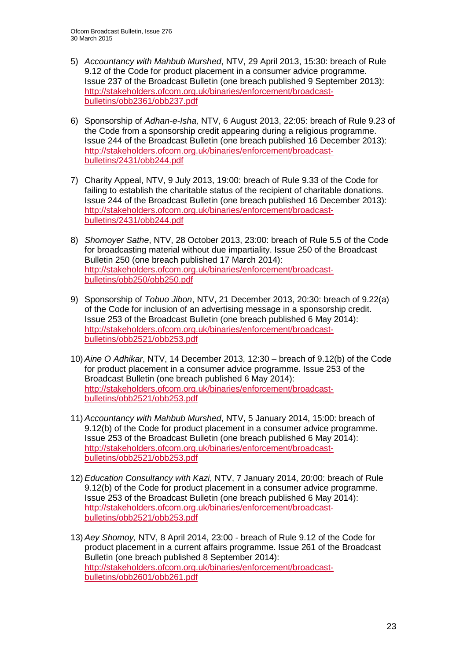- 5) *Accountancy with Mahbub Murshed*, NTV, 29 April 2013, 15:30: breach of Rule 9.12 of the Code for product placement in a consumer advice programme. Issue 237 of the Broadcast Bulletin (one breach published 9 September 2013): [http://stakeholders.ofcom.org.uk/binaries/enforcement/broadcast](http://stakeholders.ofcom.org.uk/binaries/enforcement/broadcast-bulletins/obb2361/obb237.pdf)[bulletins/obb2361/obb237.pdf](http://stakeholders.ofcom.org.uk/binaries/enforcement/broadcast-bulletins/obb2361/obb237.pdf)
- 6) Sponsorship of *Adhan-e-Isha,* NTV, 6 August 2013, 22:05: breach of Rule 9.23 of the Code from a sponsorship credit appearing during a religious programme. Issue 244 of the Broadcast Bulletin (one breach published 16 December 2013): [http://stakeholders.ofcom.org.uk/binaries/enforcement/broadcast](http://stakeholders.ofcom.org.uk/binaries/enforcement/broadcast-bulletins/2431/obb244.pdf)[bulletins/2431/obb244.pdf](http://stakeholders.ofcom.org.uk/binaries/enforcement/broadcast-bulletins/2431/obb244.pdf)
- 7) Charity Appeal, NTV, 9 July 2013, 19:00: breach of Rule 9.33 of the Code for failing to establish the charitable status of the recipient of charitable donations. Issue 244 of the Broadcast Bulletin (one breach published 16 December 2013): [http://stakeholders.ofcom.org.uk/binaries/enforcement/broadcast](http://stakeholders.ofcom.org.uk/binaries/enforcement/broadcast-bulletins/2431/obb244.pdf)[bulletins/2431/obb244.pdf](http://stakeholders.ofcom.org.uk/binaries/enforcement/broadcast-bulletins/2431/obb244.pdf)
- 8) *Shomoyer Sathe*, NTV, 28 October 2013, 23:00: breach of Rule 5.5 of the Code for broadcasting material without due impartiality. Issue 250 of the Broadcast Bulletin 250 (one breach published 17 March 2014): [http://stakeholders.ofcom.org.uk/binaries/enforcement/broadcast](http://stakeholders.ofcom.org.uk/binaries/enforcement/broadcast-bulletins/obb250/obb250.pdf)[bulletins/obb250/obb250.pdf](http://stakeholders.ofcom.org.uk/binaries/enforcement/broadcast-bulletins/obb250/obb250.pdf)
- 9) Sponsorship of *Tobuo Jibon*, NTV, 21 December 2013, 20:30: breach of 9.22(a) of the Code for inclusion of an advertising message in a sponsorship credit. Issue 253 of the Broadcast Bulletin (one breach published 6 May 2014): [http://stakeholders.ofcom.org.uk/binaries/enforcement/broadcast](http://stakeholders.ofcom.org.uk/binaries/enforcement/broadcast-bulletins/obb2521/obb253.pdf)[bulletins/obb2521/obb253.pdf](http://stakeholders.ofcom.org.uk/binaries/enforcement/broadcast-bulletins/obb2521/obb253.pdf)
- 10) *Aine O Adhikar*, NTV, 14 December 2013, 12:30 breach of 9.12(b) of the Code for product placement in a consumer advice programme. Issue 253 of the Broadcast Bulletin (one breach published 6 May 2014): [http://stakeholders.ofcom.org.uk/binaries/enforcement/broadcast](http://stakeholders.ofcom.org.uk/binaries/enforcement/broadcast-bulletins/obb2521/obb253.pdf)[bulletins/obb2521/obb253.pdf](http://stakeholders.ofcom.org.uk/binaries/enforcement/broadcast-bulletins/obb2521/obb253.pdf)
- 11) *Accountancy with Mahbub Murshed*, NTV, 5 January 2014, 15:00: breach of 9.12(b) of the Code for product placement in a consumer advice programme. Issue 253 of the Broadcast Bulletin (one breach published 6 May 2014): [http://stakeholders.ofcom.org.uk/binaries/enforcement/broadcast](http://stakeholders.ofcom.org.uk/binaries/enforcement/broadcast-bulletins/obb2521/obb253.pdf)[bulletins/obb2521/obb253.pdf](http://stakeholders.ofcom.org.uk/binaries/enforcement/broadcast-bulletins/obb2521/obb253.pdf)
- 12) *Education Consultancy with Kazi*, NTV, 7 January 2014, 20:00: breach of Rule 9.12(b) of the Code for product placement in a consumer advice programme. Issue 253 of the Broadcast Bulletin (one breach published 6 May 2014): [http://stakeholders.ofcom.org.uk/binaries/enforcement/broadcast](http://stakeholders.ofcom.org.uk/binaries/enforcement/broadcast-bulletins/obb2521/obb253.pdf)[bulletins/obb2521/obb253.pdf](http://stakeholders.ofcom.org.uk/binaries/enforcement/broadcast-bulletins/obb2521/obb253.pdf)
- 13) *Aey Shomoy,* NTV, 8 April 2014, 23:00 *-* breach of Rule 9.12 of the Code for product placement in a current affairs programme. Issue 261 of the Broadcast Bulletin (one breach published 8 September 2014): [http://stakeholders.ofcom.org.uk/binaries/enforcement/broadcast](http://stakeholders.ofcom.org.uk/binaries/enforcement/broadcast-bulletins/obb2601/obb261.pdf)[bulletins/obb2601/obb261.pdf](http://stakeholders.ofcom.org.uk/binaries/enforcement/broadcast-bulletins/obb2601/obb261.pdf)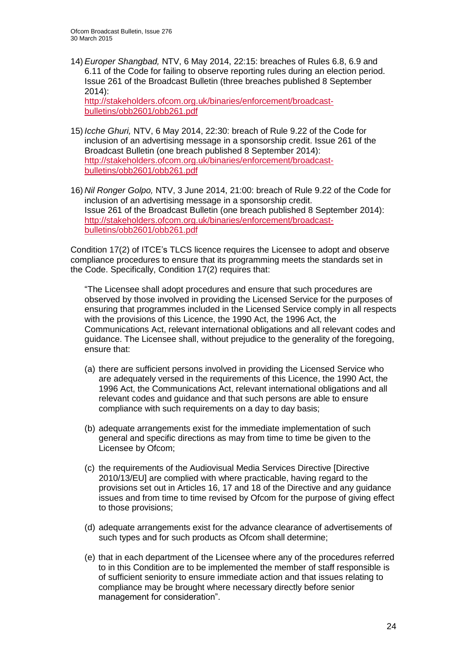14) *Europer Shangbad,* NTV, 6 May 2014, 22:15: breaches of Rules 6.8, 6.9 and 6.11 of the Code for failing to observe reporting rules during an election period. Issue 261 of the Broadcast Bulletin (three breaches published 8 September 2014):

[http://stakeholders.ofcom.org.uk/binaries/enforcement/broadcast](http://stakeholders.ofcom.org.uk/binaries/enforcement/broadcast-bulletins/obb2601/obb261.pdf)[bulletins/obb2601/obb261.pdf](http://stakeholders.ofcom.org.uk/binaries/enforcement/broadcast-bulletins/obb2601/obb261.pdf)

- 15) *Icche Ghuri,* NTV, 6 May 2014, 22:30: breach of Rule 9.22 of the Code for inclusion of an advertising message in a sponsorship credit. Issue 261 of the Broadcast Bulletin (one breach published 8 September 2014): [http://stakeholders.ofcom.org.uk/binaries/enforcement/broadcast](http://stakeholders.ofcom.org.uk/binaries/enforcement/broadcast-bulletins/obb2601/obb261.pdf)[bulletins/obb2601/obb261.pdf](http://stakeholders.ofcom.org.uk/binaries/enforcement/broadcast-bulletins/obb2601/obb261.pdf)
- 16) *Nil Ronger Golpo,* NTV, 3 June 2014, 21:00: breach of Rule 9.22 of the Code for inclusion of an advertising message in a sponsorship credit. Issue 261 of the Broadcast Bulletin (one breach published 8 September 2014): [http://stakeholders.ofcom.org.uk/binaries/enforcement/broadcast](http://stakeholders.ofcom.org.uk/binaries/enforcement/broadcast-bulletins/obb2601/obb261.pdf)[bulletins/obb2601/obb261.pdf](http://stakeholders.ofcom.org.uk/binaries/enforcement/broadcast-bulletins/obb2601/obb261.pdf)

Condition 17(2) of ITCE's TLCS licence requires the Licensee to adopt and observe compliance procedures to ensure that its programming meets the standards set in the Code. Specifically, Condition 17(2) requires that:

"The Licensee shall adopt procedures and ensure that such procedures are observed by those involved in providing the Licensed Service for the purposes of ensuring that programmes included in the Licensed Service comply in all respects with the provisions of this Licence, the 1990 Act, the 1996 Act, the Communications Act, relevant international obligations and all relevant codes and guidance. The Licensee shall, without prejudice to the generality of the foregoing, ensure that:

- (a) there are sufficient persons involved in providing the Licensed Service who are adequately versed in the requirements of this Licence, the 1990 Act, the 1996 Act, the Communications Act, relevant international obligations and all relevant codes and guidance and that such persons are able to ensure compliance with such requirements on a day to day basis;
- (b) adequate arrangements exist for the immediate implementation of such general and specific directions as may from time to time be given to the Licensee by Ofcom;
- (c) the requirements of the Audiovisual Media Services Directive [Directive 2010/13/EU] are complied with where practicable, having regard to the provisions set out in Articles 16, 17 and 18 of the Directive and any guidance issues and from time to time revised by Ofcom for the purpose of giving effect to those provisions;
- (d) adequate arrangements exist for the advance clearance of advertisements of such types and for such products as Ofcom shall determine;
- (e) that in each department of the Licensee where any of the procedures referred to in this Condition are to be implemented the member of staff responsible is of sufficient seniority to ensure immediate action and that issues relating to compliance may be brought where necessary directly before senior management for consideration".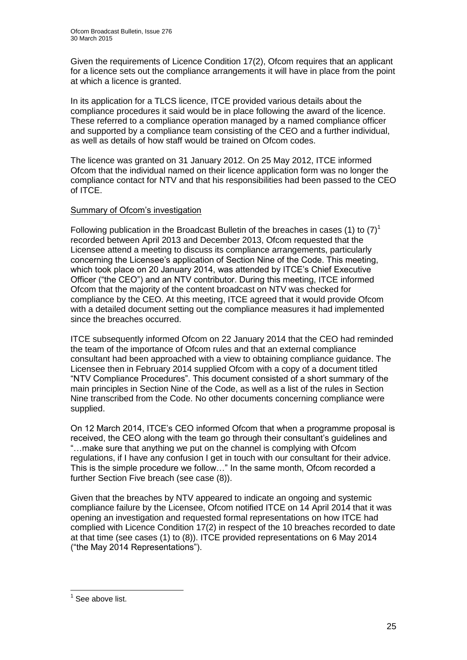Given the requirements of Licence Condition 17(2), Ofcom requires that an applicant for a licence sets out the compliance arrangements it will have in place from the point at which a licence is granted.

In its application for a TLCS licence, ITCE provided various details about the compliance procedures it said would be in place following the award of the licence. These referred to a compliance operation managed by a named compliance officer and supported by a compliance team consisting of the CEO and a further individual, as well as details of how staff would be trained on Ofcom codes.

The licence was granted on 31 January 2012. On 25 May 2012, ITCE informed Ofcom that the individual named on their licence application form was no longer the compliance contact for NTV and that his responsibilities had been passed to the CEO of ITCE.

## Summary of Ofcom's investigation

Following publication in the Broadcast Bulletin of the breaches in cases (1) to (7)<sup>1</sup> recorded between April 2013 and December 2013, Ofcom requested that the Licensee attend a meeting to discuss its compliance arrangements, particularly concerning the Licensee's application of Section Nine of the Code. This meeting, which took place on 20 January 2014, was attended by ITCE's Chief Executive Officer ("the CEO") and an NTV contributor. During this meeting, ITCE informed Ofcom that the majority of the content broadcast on NTV was checked for compliance by the CEO. At this meeting, ITCE agreed that it would provide Ofcom with a detailed document setting out the compliance measures it had implemented since the breaches occurred.

ITCE subsequently informed Ofcom on 22 January 2014 that the CEO had reminded the team of the importance of Ofcom rules and that an external compliance consultant had been approached with a view to obtaining compliance guidance. The Licensee then in February 2014 supplied Ofcom with a copy of a document titled "NTV Compliance Procedures". This document consisted of a short summary of the main principles in Section Nine of the Code, as well as a list of the rules in Section Nine transcribed from the Code. No other documents concerning compliance were supplied.

On 12 March 2014, ITCE's CEO informed Ofcom that when a programme proposal is received, the CEO along with the team go through their consultant's guidelines and "…make sure that anything we put on the channel is complying with Ofcom regulations, if I have any confusion I get in touch with our consultant for their advice. This is the simple procedure we follow…" In the same month, Ofcom recorded a further Section Five breach (see case (8)).

Given that the breaches by NTV appeared to indicate an ongoing and systemic compliance failure by the Licensee, Ofcom notified ITCE on 14 April 2014 that it was opening an investigation and requested formal representations on how ITCE had complied with Licence Condition 17(2) in respect of the 10 breaches recorded to date at that time (see cases (1) to (8)). ITCE provided representations on 6 May 2014 ("the May 2014 Representations").

<sup>&</sup>lt;u>1</u><br><sup>1</sup> See above list.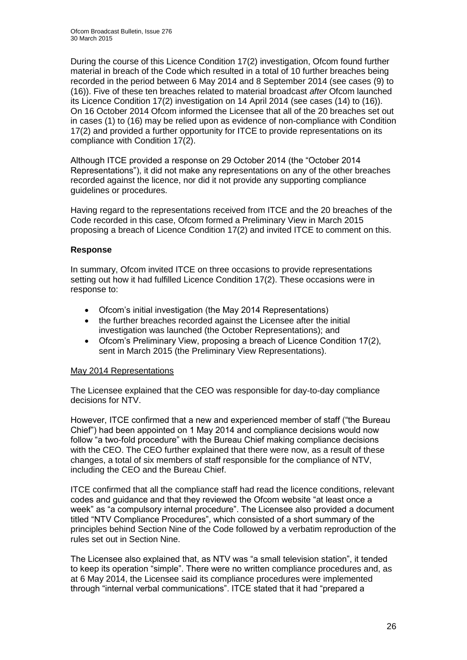During the course of this Licence Condition 17(2) investigation, Ofcom found further material in breach of the Code which resulted in a total of 10 further breaches being recorded in the period between 6 May 2014 and 8 September 2014 (see cases (9) to (16)). Five of these ten breaches related to material broadcast *after* Ofcom launched its Licence Condition 17(2) investigation on 14 April 2014 (see cases (14) to (16)). On 16 October 2014 Ofcom informed the Licensee that all of the 20 breaches set out in cases (1) to (16) may be relied upon as evidence of non-compliance with Condition 17(2) and provided a further opportunity for ITCE to provide representations on its compliance with Condition 17(2).

Although ITCE provided a response on 29 October 2014 (the "October 2014 Representations"), it did not make any representations on any of the other breaches recorded against the licence, nor did it not provide any supporting compliance guidelines or procedures.

Having regard to the representations received from ITCE and the 20 breaches of the Code recorded in this case, Ofcom formed a Preliminary View in March 2015 proposing a breach of Licence Condition 17(2) and invited ITCE to comment on this.

## **Response**

In summary, Ofcom invited ITCE on three occasions to provide representations setting out how it had fulfilled Licence Condition 17(2). These occasions were in response to:

- Ofcom's initial investigation (the May 2014 Representations)
- the further breaches recorded against the Licensee after the initial investigation was launched (the October Representations); and
- Ofcom's Preliminary View, proposing a breach of Licence Condition 17(2), sent in March 2015 (the Preliminary View Representations).

## May 2014 Representations

The Licensee explained that the CEO was responsible for day-to-day compliance decisions for NTV.

However, ITCE confirmed that a new and experienced member of staff ("the Bureau Chief") had been appointed on 1 May 2014 and compliance decisions would now follow "a two-fold procedure" with the Bureau Chief making compliance decisions with the CEO. The CEO further explained that there were now, as a result of these changes, a total of six members of staff responsible for the compliance of NTV, including the CEO and the Bureau Chief.

ITCE confirmed that all the compliance staff had read the licence conditions, relevant codes and guidance and that they reviewed the Ofcom website "at least once a week" as "a compulsory internal procedure". The Licensee also provided a document titled "NTV Compliance Procedures", which consisted of a short summary of the principles behind Section Nine of the Code followed by a verbatim reproduction of the rules set out in Section Nine.

The Licensee also explained that, as NTV was "a small television station", it tended to keep its operation "simple". There were no written compliance procedures and, as at 6 May 2014, the Licensee said its compliance procedures were implemented through "internal verbal communications". ITCE stated that it had "prepared a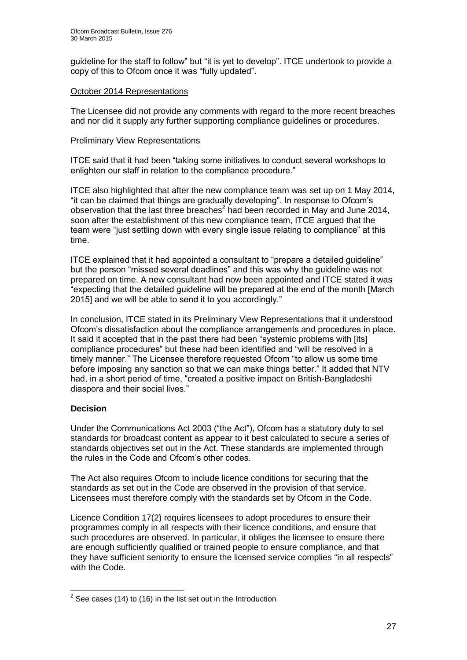guideline for the staff to follow" but "it is yet to develop". ITCE undertook to provide a copy of this to Ofcom once it was "fully updated".

#### October 2014 Representations

The Licensee did not provide any comments with regard to the more recent breaches and nor did it supply any further supporting compliance guidelines or procedures.

#### Preliminary View Representations

ITCE said that it had been "taking some initiatives to conduct several workshops to enlighten our staff in relation to the compliance procedure."

ITCE also highlighted that after the new compliance team was set up on 1 May 2014, "it can be claimed that things are gradually developing". In response to Ofcom's observation that the last three breaches $2$  had been recorded in May and June 2014, soon after the establishment of this new compliance team, ITCE argued that the team were "just settling down with every single issue relating to compliance" at this time.

ITCE explained that it had appointed a consultant to "prepare a detailed guideline" but the person "missed several deadlines" and this was why the guideline was not prepared on time. A new consultant had now been appointed and ITCE stated it was "expecting that the detailed guideline will be prepared at the end of the month [March 2015] and we will be able to send it to you accordingly."

In conclusion, ITCE stated in its Preliminary View Representations that it understood Ofcom's dissatisfaction about the compliance arrangements and procedures in place. It said it accepted that in the past there had been "systemic problems with [its] compliance procedures" but these had been identified and "will be resolved in a timely manner." The Licensee therefore requested Ofcom "to allow us some time before imposing any sanction so that we can make things better." It added that NTV had, in a short period of time, "created a positive impact on British-Bangladeshi diaspora and their social lives."

## **Decision**

Under the Communications Act 2003 ("the Act"), Ofcom has a statutory duty to set standards for broadcast content as appear to it best calculated to secure a series of standards objectives set out in the Act. These standards are implemented through the rules in the Code and Ofcom's other codes.

The Act also requires Ofcom to include licence conditions for securing that the standards as set out in the Code are observed in the provision of that service. Licensees must therefore comply with the standards set by Ofcom in the Code.

Licence Condition 17(2) requires licensees to adopt procedures to ensure their programmes comply in all respects with their licence conditions, and ensure that such procedures are observed. In particular, it obliges the licensee to ensure there are enough sufficiently qualified or trained people to ensure compliance, and that they have sufficient seniority to ensure the licensed service complies "in all respects" with the Code.

 2 See cases (14) to (16) in the list set out in the Introduction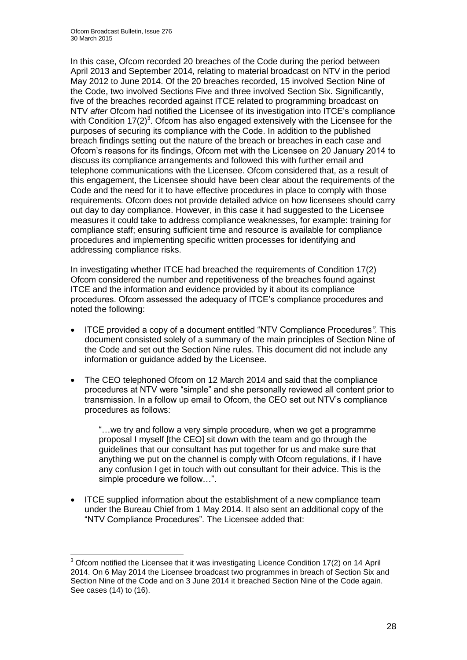In this case, Ofcom recorded 20 breaches of the Code during the period between April 2013 and September 2014, relating to material broadcast on NTV in the period May 2012 to June 2014. Of the 20 breaches recorded, 15 involved Section Nine of the Code, two involved Sections Five and three involved Section Six. Significantly, five of the breaches recorded against ITCE related to programming broadcast on NTV *after* Ofcom had notified the Licensee of its investigation into ITCE's compliance with Condition  $17(2)^3$ . Ofcom has also engaged extensively with the Licensee for the purposes of securing its compliance with the Code. In addition to the published breach findings setting out the nature of the breach or breaches in each case and Ofcom's reasons for its findings, Ofcom met with the Licensee on 20 January 2014 to discuss its compliance arrangements and followed this with further email and telephone communications with the Licensee. Ofcom considered that, as a result of this engagement, the Licensee should have been clear about the requirements of the Code and the need for it to have effective procedures in place to comply with those requirements. Ofcom does not provide detailed advice on how licensees should carry out day to day compliance. However, in this case it had suggested to the Licensee measures it could take to address compliance weaknesses, for example: training for compliance staff; ensuring sufficient time and resource is available for compliance procedures and implementing specific written processes for identifying and addressing compliance risks.

In investigating whether ITCE had breached the requirements of Condition 17(2) Ofcom considered the number and repetitiveness of the breaches found against ITCE and the information and evidence provided by it about its compliance procedures. Ofcom assessed the adequacy of ITCE's compliance procedures and noted the following:

- ITCE provided a copy of a document entitled "NTV Compliance Procedures*"*. This document consisted solely of a summary of the main principles of Section Nine of the Code and set out the Section Nine rules. This document did not include any information or guidance added by the Licensee.
- The CEO telephoned Ofcom on 12 March 2014 and said that the compliance procedures at NTV were "simple" and she personally reviewed all content prior to transmission. In a follow up email to Ofcom, the CEO set out NTV's compliance procedures as follows:

"…we try and follow a very simple procedure, when we get a programme proposal I myself [the CEO] sit down with the team and go through the guidelines that our consultant has put together for us and make sure that anything we put on the channel is comply with Ofcom regulations, if I have any confusion I get in touch with out consultant for their advice. This is the simple procedure we follow…".

 ITCE supplied information about the establishment of a new compliance team under the Bureau Chief from 1 May 2014. It also sent an additional copy of the "NTV Compliance Procedures". The Licensee added that:

<sup>1</sup>  $3$  Ofcom notified the Licensee that it was investigating Licence Condition 17(2) on 14 April 2014. On 6 May 2014 the Licensee broadcast two programmes in breach of Section Six and Section Nine of the Code and on 3 June 2014 it breached Section Nine of the Code again. See cases (14) to (16).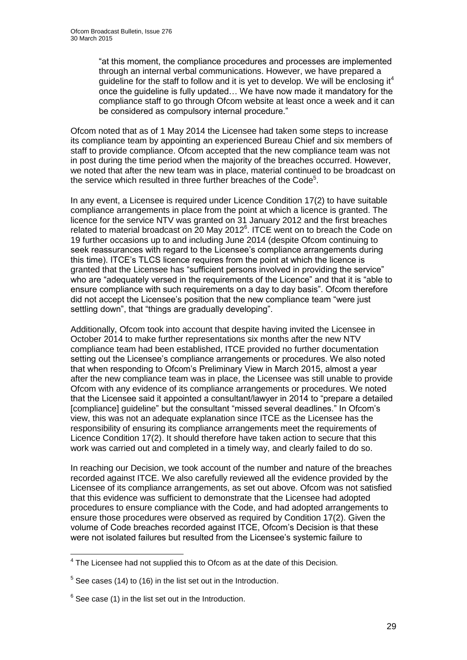"at this moment, the compliance procedures and processes are implemented through an internal verbal communications. However, we have prepared a quideline for the staff to follow and it is yet to develop. We will be enclosing it<sup>4</sup> once the guideline is fully updated… We have now made it mandatory for the compliance staff to go through Ofcom website at least once a week and it can be considered as compulsory internal procedure."

Ofcom noted that as of 1 May 2014 the Licensee had taken some steps to increase its compliance team by appointing an experienced Bureau Chief and six members of staff to provide compliance. Ofcom accepted that the new compliance team was not in post during the time period when the majority of the breaches occurred. However, we noted that after the new team was in place, material continued to be broadcast on the service which resulted in three further breaches of the Code<sup>5</sup>.

In any event, a Licensee is required under Licence Condition 17(2) to have suitable compliance arrangements in place from the point at which a licence is granted. The licence for the service NTV was granted on 31 January 2012 and the first breaches related to material broadcast on 20 May 2012<sup>6</sup>. ITCE went on to breach the Code on 19 further occasions up to and including June 2014 (despite Ofcom continuing to seek reassurances with regard to the Licensee's compliance arrangements during this time). ITCE's TLCS licence requires from the point at which the licence is granted that the Licensee has "sufficient persons involved in providing the service" who are "adequately versed in the requirements of the Licence" and that it is "able to ensure compliance with such requirements on a day to day basis". Ofcom therefore did not accept the Licensee's position that the new compliance team "were just settling down", that "things are gradually developing".

Additionally, Ofcom took into account that despite having invited the Licensee in October 2014 to make further representations six months after the new NTV compliance team had been established, ITCE provided no further documentation setting out the Licensee's compliance arrangements or procedures. We also noted that when responding to Ofcom's Preliminary View in March 2015, almost a year after the new compliance team was in place, the Licensee was still unable to provide Ofcom with any evidence of its compliance arrangements or procedures. We noted that the Licensee said it appointed a consultant/lawyer in 2014 to "prepare a detailed [compliance] guideline" but the consultant "missed several deadlines." In Ofcom's view, this was not an adequate explanation since ITCE as the Licensee has the responsibility of ensuring its compliance arrangements meet the requirements of Licence Condition 17(2). It should therefore have taken action to secure that this work was carried out and completed in a timely way, and clearly failed to do so.

In reaching our Decision, we took account of the number and nature of the breaches recorded against ITCE. We also carefully reviewed all the evidence provided by the Licensee of its compliance arrangements, as set out above. Ofcom was not satisfied that this evidence was sufficient to demonstrate that the Licensee had adopted procedures to ensure compliance with the Code, and had adopted arrangements to ensure those procedures were observed as required by Condition 17(2). Given the volume of Code breaches recorded against ITCE, Ofcom's Decision is that these were not isolated failures but resulted from the Licensee's systemic failure to

<sup>1</sup>  $<sup>4</sup>$  The Licensee had not supplied this to Ofcom as at the date of this Decision.</sup>

 $5$  See cases (14) to (16) in the list set out in the Introduction.

 $6$  See case (1) in the list set out in the Introduction.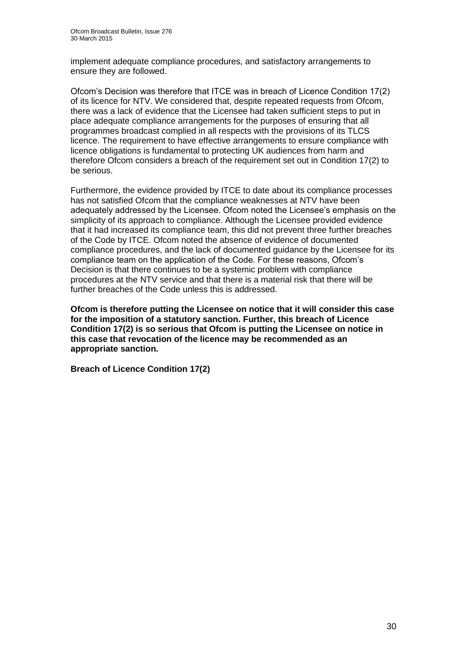implement adequate compliance procedures, and satisfactory arrangements to ensure they are followed.

Ofcom's Decision was therefore that ITCE was in breach of Licence Condition 17(2) of its licence for NTV. We considered that, despite repeated requests from Ofcom, there was a lack of evidence that the Licensee had taken sufficient steps to put in place adequate compliance arrangements for the purposes of ensuring that all programmes broadcast complied in all respects with the provisions of its TLCS licence. The requirement to have effective arrangements to ensure compliance with licence obligations is fundamental to protecting UK audiences from harm and therefore Ofcom considers a breach of the requirement set out in Condition 17(2) to be serious.

Furthermore, the evidence provided by ITCE to date about its compliance processes has not satisfied Ofcom that the compliance weaknesses at NTV have been adequately addressed by the Licensee. Ofcom noted the Licensee's emphasis on the simplicity of its approach to compliance. Although the Licensee provided evidence that it had increased its compliance team, this did not prevent three further breaches of the Code by ITCE. Ofcom noted the absence of evidence of documented compliance procedures, and the lack of documented guidance by the Licensee for its compliance team on the application of the Code. For these reasons, Ofcom's Decision is that there continues to be a systemic problem with compliance procedures at the NTV service and that there is a material risk that there will be further breaches of the Code unless this is addressed.

**Ofcom is therefore putting the Licensee on notice that it will consider this case for the imposition of a statutory sanction. Further, this breach of Licence Condition 17(2) is so serious that Ofcom is putting the Licensee on notice in this case that revocation of the licence may be recommended as an appropriate sanction.** 

**Breach of Licence Condition 17(2)**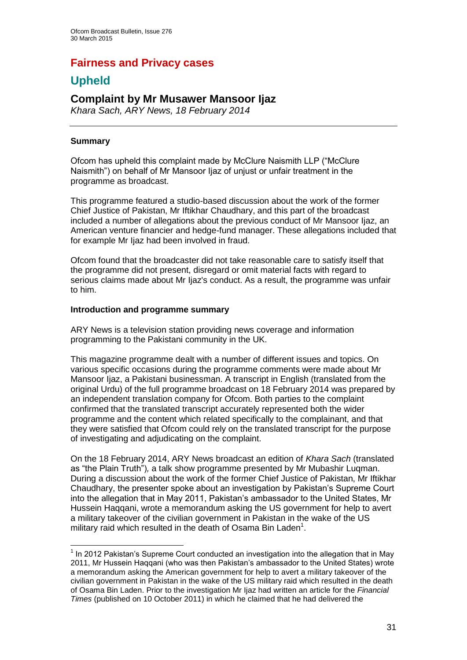## **Fairness and Privacy cases**

## **Upheld**

## **Complaint by Mr Musawer Mansoor Ijaz**

*Khara Sach, ARY News, 18 February 2014* 

## **Summary**

1

Ofcom has upheld this complaint made by McClure Naismith LLP ("McClure Naismith") on behalf of Mr Mansoor Ijaz of unjust or unfair treatment in the programme as broadcast.

This programme featured a studio-based discussion about the work of the former Chief Justice of Pakistan, Mr Iftikhar Chaudhary, and this part of the broadcast included a number of allegations about the previous conduct of Mr Mansoor Ijaz, an [American](http://en.wikipedia.org/wiki/United_States) venture financier and hedge-fund manager. These allegations included that for example Mr Ijaz had been involved in fraud.

Ofcom found that the broadcaster did not take reasonable care to satisfy itself that the programme did not present, disregard or omit material facts with regard to serious claims made about Mr Ijaz's conduct. As a result, the programme was unfair to him.

## **Introduction and programme summary**

ARY News is a television station providing news coverage and information programming to the Pakistani community in the UK.

This magazine programme dealt with a number of different issues and topics. On various specific occasions during the programme comments were made about Mr Mansoor Ijaz, a Pakistani businessman. A transcript in English (translated from the original Urdu) of the full programme broadcast on 18 February 2014 was prepared by an independent translation company for Ofcom. Both parties to the complaint confirmed that the translated transcript accurately represented both the wider programme and the content which related specifically to the complainant, and that they were satisfied that Ofcom could rely on the translated transcript for the purpose of investigating and adjudicating on the complaint.

On the 18 February 2014, ARY News broadcast an edition of *Khara Sach* (translated as "the Plain Truth")*,* a talk show programme presented by Mr Mubashir Luqman. During a discussion about the work of the former Chief Justice of Pakistan, Mr Iftikhar Chaudhary, the presenter spoke about an investigation by Pakistan's Supreme Court into the allegation that in May 2011, Pakistan's ambassador to the United States, Mr Hussein Haqqani, wrote a memorandum asking the US government for help to avert a military takeover of the civilian government in Pakistan in the wake of the US military raid which resulted in the death of Osama Bin Laden<sup>1</sup>.

 $<sup>1</sup>$  In 2012 Pakistan's Supreme Court conducted an investigation into the allegation that in May</sup> 2011, Mr Hussein Haqqani (who was then Pakistan's ambassador to the United States) wrote a memorandum asking the American government for help to avert a military takeover of the civilian government in Pakistan in the wake of the US military raid which resulted in the death of Osama Bin Laden. Prior to the investigation Mr Ijaz had written an article for the *Financial Times* (published on 10 October 2011) in which he claimed that he had delivered the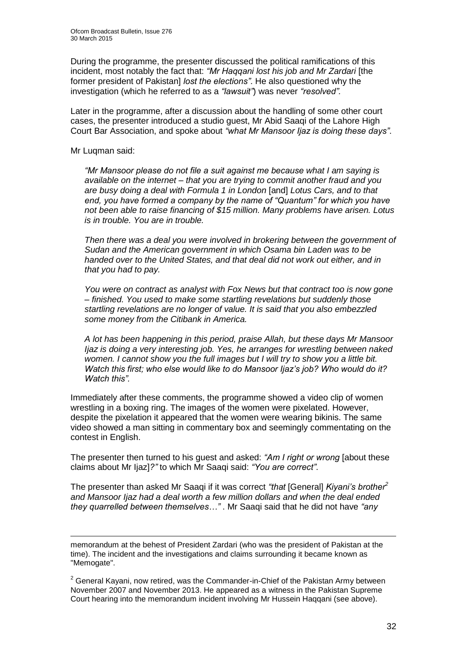During the programme, the presenter discussed the political ramifications of this incident, most notably the fact that: *"Mr Haqqani lost his job and Mr Zardari* [the former president of Pakistan] *lost the elections"*. He also questioned why the investigation (which he referred to as a *"lawsuit"*) was never *"resolved".* 

Later in the programme, after a discussion about the handling of some other court cases, the presenter introduced a studio guest, Mr Abid Saaqi of the Lahore High Court Bar Association, and spoke about *"what Mr Mansoor Ijaz is doing these days"*.

Mr Luqman said:

1

*"Mr Mansoor please do not file a suit against me because what I am saying is available on the internet – that you are trying to commit another fraud and you are busy doing a deal with Formula 1 in London* [and] *Lotus Cars, and to that end, you have formed a company by the name of "Quantum" for which you have not been able to raise financing of \$15 million. Many problems have arisen. Lotus is in trouble. You are in trouble.* 

*Then there was a deal you were involved in brokering between the government of Sudan and the American government in which Osama bin Laden was to be handed over to the United States, and that deal did not work out either, and in that you had to pay.*

*You were on contract as analyst with Fox News but that contract too is now gone – finished. You used to make some startling revelations but suddenly those startling revelations are no longer of value. It is said that you also embezzled some money from the Citibank in America.* 

*A lot has been happening in this period, praise Allah, but these days Mr Mansoor Ijaz is doing a very interesting job. Yes, he arranges for wrestling between naked women. I cannot show you the full images but I will try to show you a little bit. Watch this first; who else would like to do Mansoor Ijaz's job? Who would do it? Watch this".*

Immediately after these comments, the programme showed a video clip of women wrestling in a boxing ring. The images of the women were pixelated. However, despite the pixelation it appeared that the women were wearing bikinis. The same video showed a man sitting in commentary box and seemingly commentating on the contest in English.

The presenter then turned to his guest and asked: *"Am I right or wrong* [about these claims about Mr Ijaz]*?"* to which Mr Saaqi said: *"You are correct"*.

The presenter than asked Mr Saaqi if it was correct *"that* [General] *Kiyani's brother<sup>2</sup> and Mansoor Ijaz had a deal worth a few million dollars and when the deal ended they quarrelled between themselves…"* . Mr Saaqi said that he did not have *"any* 

memorandum at the behest of President Zardari (who was the president of Pakistan at the time). The incident and the investigations and claims surrounding it became known as "Memogate".

 $2$  General Kavani, now retired, was the Commander-in-Chief of the Pakistan Army between November 2007 and November 2013. He appeared as a witness in the Pakistan Supreme Court hearing into the memorandum incident involving Mr Hussein Haqqani (see above).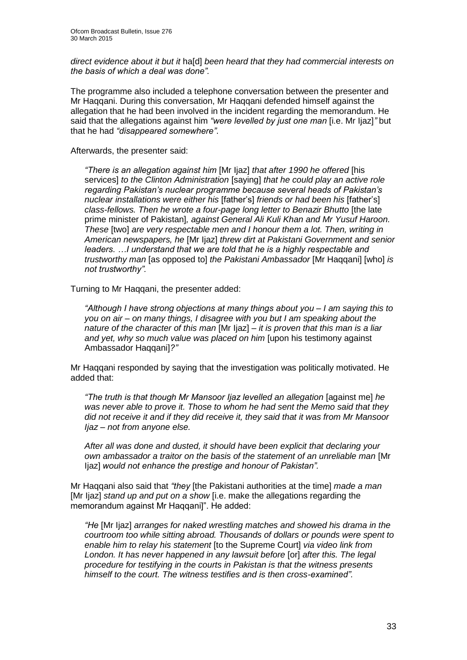*direct evidence about it but it* ha[d] *been heard that they had commercial interests on the basis of which a deal was done".*

The programme also included a telephone conversation between the presenter and Mr Haqqani. During this conversation, Mr Haqqani defended himself against the allegation that he had been involved in the incident regarding the memorandum. He said that the allegations against him *"were levelled by just one man* [i.e. Mr Ijaz]*"* but that he had *"disappeared somewhere"*.

Afterwards, the presenter said:

*"There is an allegation against him* [Mr Ijaz] *that after 1990 he offered* [his services] *to the Clinton Administration* [saying] *that he could play an active role regarding Pakistan's nuclear programme because several heads of Pakistan's nuclear installations were either his* [father's] *friends or had been his* [father's] *class-fellows. Then he wrote a four-page long letter to Benazir Bhutto* [the late prime minister of Pakistan]*, against General Ali Kuli Khan and Mr Yusuf Haroon. These* [two] *are very respectable men and I honour them a lot. Then, writing in American newspapers, he* [Mr Ijaz] *threw dirt at Pakistani Government and senior leaders. …I understand that we are told that he is a highly respectable and trustworthy man* [as opposed to] *the Pakistani Ambassador* [Mr Haqqani] [who] *is not trustworthy".* 

Turning to Mr Haqqani, the presenter added:

*"Although I have strong objections at many things about you – I am saying this to you on air – on many things, I disagree with you but I am speaking about the nature of the character of this man* [Mr Ijaz] *– it is proven that this man is a liar and yet, why so much value was placed on him* [upon his testimony against Ambassador Haqqani]*?"*

Mr Haqqani responded by saying that the investigation was politically motivated. He added that:

*"The truth is that though Mr Mansoor Ijaz levelled an allegation* [against me] *he was never able to prove it. Those to whom he had sent the Memo said that they did not receive it and if they did receive it, they said that it was from Mr Mansoor Ijaz – not from anyone else.* 

*After all was done and dusted, it should have been explicit that declaring your own ambassador a traitor on the basis of the statement of an unreliable man* [Mr Ijaz] *would not enhance the prestige and honour of Pakistan".*

Mr Haqqani also said that *"they* [the Pakistani authorities at the time] *made a man* [Mr Ijaz] *stand up and put on a show* [i.e. make the allegations regarding the memorandum against Mr Haqqani]". He added:

*"He* [Mr Ijaz] *arranges for naked wrestling matches and showed his drama in the courtroom too while sitting abroad. Thousands of dollars or pounds were spent to enable him to relay his statement* [to the Supreme Court] *via video link from London. It has never happened in any lawsuit before* [or] *after this. The legal procedure for testifying in the courts in Pakistan is that the witness presents himself to the court. The witness testifies and is then cross-examined".*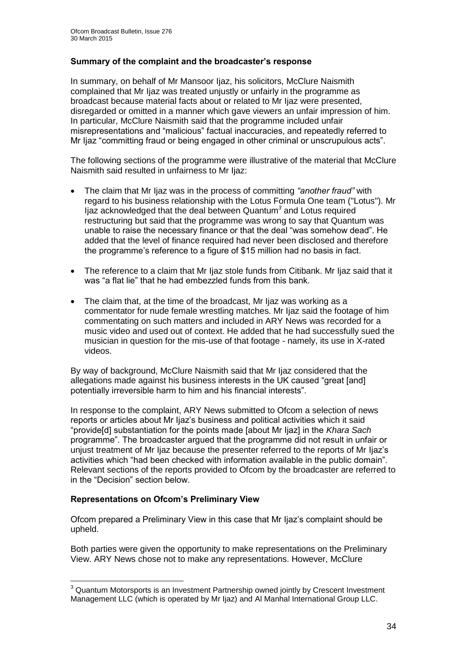## **Summary of the complaint and the broadcaster's response**

In summary, on behalf of Mr Mansoor Ijaz, his solicitors, McClure Naismith complained that Mr Ijaz was treated unjustly or unfairly in the programme as broadcast because material facts about or related to Mr Ijaz were presented, disregarded or omitted in a manner which gave viewers an unfair impression of him. In particular, McClure Naismith said that the programme included unfair misrepresentations and "malicious" factual inaccuracies, and repeatedly referred to Mr Ijaz "committing fraud or being engaged in other criminal or unscrupulous acts".

The following sections of the programme were illustrative of the material that McClure Naismith said resulted in unfairness to Mr Ijaz:

- The claim that Mr Ijaz was in the process of committing *"another fraud"* with regard to his business relationship with the Lotus Formula One team ("Lotus"). Mr Ijaz acknowledged that the deal between Quantum*<sup>3</sup>* and Lotus required restructuring but said that the programme was wrong to say that Quantum was unable to raise the necessary finance or that the deal "was somehow dead". He added that the level of finance required had never been disclosed and therefore the programme's reference to a figure of \$15 million had no basis in fact.
- The reference to a claim that Mr liaz stole funds from Citibank. Mr liaz said that it was "a flat lie" that he had embezzled funds from this bank.
- The claim that, at the time of the broadcast, Mr Ijaz was working as a commentator for nude female wrestling matches. Mr Ijaz said the footage of him commentating on such matters and included in ARY News was recorded for a music video and used out of context. He added that he had successfully sued the musician in question for the mis-use of that footage - namely, its use in X-rated videos.

By way of background, McClure Naismith said that Mr Ijaz considered that the allegations made against his business interests in the UK caused "great [and] potentially irreversible harm to him and his financial interests".

In response to the complaint, ARY News submitted to Ofcom a selection of news reports or articles about Mr Ijaz's business and political activities which it said "provide[d] substantiation for the points made [about Mr Ijaz] in the *Khara Sach* programme". The broadcaster argued that the programme did not result in unfair or unjust treatment of Mr Ijaz because the presenter referred to the reports of Mr Ijaz's activities which "had been checked with information available in the public domain". Relevant sections of the reports provided to Ofcom by the broadcaster are referred to in the "Decision" section below.

## **Representations on Ofcom's Preliminary View**

1

Ofcom prepared a Preliminary View in this case that Mr Ijaz's complaint should be upheld.

Both parties were given the opportunity to make representations on the Preliminary View. ARY News chose not to make any representations. However, McClure

 $3$  Quantum Motorsports is an Investment Partnership owned jointly by Crescent Investment Management LLC (which is operated by Mr Ijaz) and Al Manhal International Group LLC.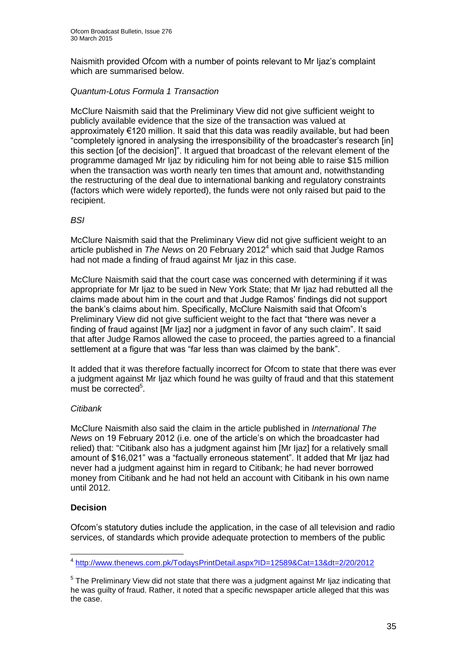Naismith provided Ofcom with a number of points relevant to Mr Ijaz's complaint which are summarised below.

## *Quantum-Lotus Formula 1 Transaction*

McClure Naismith said that the Preliminary View did not give sufficient weight to publicly available evidence that the size of the transaction was valued at approximately €120 million. It said that this data was readily available, but had been "completely ignored in analysing the irresponsibility of the broadcaster's research [in] this section [of the decision]". It argued that broadcast of the relevant element of the programme damaged Mr Ijaz by ridiculing him for not being able to raise \$15 million when the transaction was worth nearly ten times that amount and, notwithstanding the restructuring of the deal due to international banking and regulatory constraints (factors which were widely reported), the funds were not only raised but paid to the recipient.

## *BSI*

McClure Naismith said that the Preliminary View did not give sufficient weight to an article published in *The News* on 20 February 2012<sup>4</sup> which said that Judge Ramos had not made a finding of fraud against Mr Ijaz in this case.

McClure Naismith said that the court case was concerned with determining if it was appropriate for Mr Ijaz to be sued in New York State; that Mr Ijaz had rebutted all the claims made about him in the court and that Judge Ramos' findings did not support the bank's claims about him. Specifically, McClure Naismith said that Ofcom's Preliminary View did not give sufficient weight to the fact that "there was never a finding of fraud against [Mr Ijaz] nor a judgment in favor of any such claim". It said that after Judge Ramos allowed the case to proceed, the parties agreed to a financial settlement at a figure that was "far less than was claimed by the bank".

It added that it was therefore factually incorrect for Ofcom to state that there was ever a judgment against Mr Ijaz which found he was guilty of fraud and that this statement must be corrected<sup>5</sup>.

## *Citibank*

McClure Naismith also said the claim in the article published in *International The News* on 19 February 2012 (i.e. one of the article's on which the broadcaster had relied) that: "Citibank also has a judgment against him [Mr Ijaz] for a relatively small amount of \$16,021" was a "factually erroneous statement". It added that Mr Ijaz had never had a judgment against him in regard to Citibank; he had never borrowed money from Citibank and he had not held an account with Citibank in his own name until 2012.

## **Decision**

Ofcom's statutory duties include the application, in the case of all television and radio services, of standards which provide adequate protection to members of the public

<sup>1</sup> 4 <http://www.thenews.com.pk/TodaysPrintDetail.aspx?ID=12589&Cat=13&dt=2/20/2012>

 $5$  The Preliminary View did not state that there was a judgment against Mr Ijaz indicating that he was guilty of fraud. Rather, it noted that a specific newspaper article alleged that this was the case.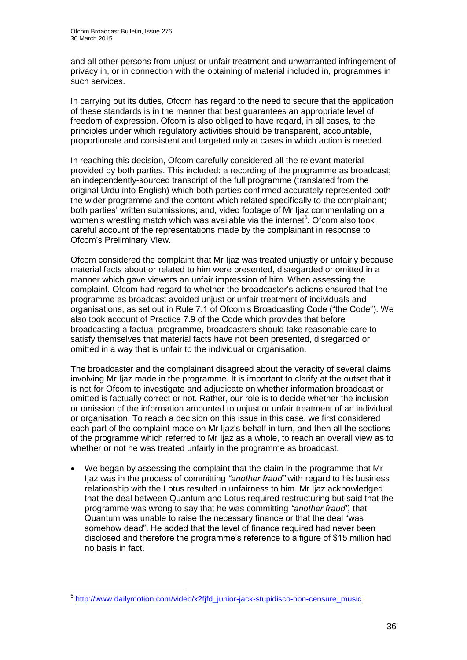and all other persons from unjust or unfair treatment and unwarranted infringement of privacy in, or in connection with the obtaining of material included in, programmes in such services.

In carrying out its duties, Ofcom has regard to the need to secure that the application of these standards is in the manner that best guarantees an appropriate level of freedom of expression. Ofcom is also obliged to have regard, in all cases, to the principles under which regulatory activities should be transparent, accountable, proportionate and consistent and targeted only at cases in which action is needed.

In reaching this decision, Ofcom carefully considered all the relevant material provided by both parties. This included: a recording of the programme as broadcast; an independently-sourced transcript of the full programme (translated from the original Urdu into English) which both parties confirmed accurately represented both the wider programme and the content which related specifically to the complainant; both parties' written submissions; and, video footage of Mr Ijaz commentating on a women's wrestling match which was available via the internet<sup>6</sup>. Ofcom also took careful account of the representations made by the complainant in response to Ofcom's Preliminary View.

Ofcom considered the complaint that Mr Ijaz was treated unjustly or unfairly because material facts about or related to him were presented, disregarded or omitted in a manner which gave viewers an unfair impression of him. When assessing the complaint, Ofcom had regard to whether the broadcaster's actions ensured that the programme as broadcast avoided unjust or unfair treatment of individuals and organisations, as set out in Rule 7.1 of Ofcom's Broadcasting Code ("the Code"). We also took account of Practice 7.9 of the Code which provides that before broadcasting a factual programme, broadcasters should take reasonable care to satisfy themselves that material facts have not been presented, disregarded or omitted in a way that is unfair to the individual or organisation.

The broadcaster and the complainant disagreed about the veracity of several claims involving Mr Ijaz made in the programme. It is important to clarify at the outset that it is not for Ofcom to investigate and adjudicate on whether information broadcast or omitted is factually correct or not. Rather, our role is to decide whether the inclusion or omission of the information amounted to unjust or unfair treatment of an individual or organisation. To reach a decision on this issue in this case, we first considered each part of the complaint made on Mr Ijaz's behalf in turn, and then all the sections of the programme which referred to Mr Ijaz as a whole, to reach an overall view as to whether or not he was treated unfairly in the programme as broadcast.

 We began by assessing the complaint that the claim in the programme that Mr Ijaz was in the process of committing *"another fraud"* with regard to his business relationship with the Lotus resulted in unfairness to him. Mr Ijaz acknowledged that the deal between Quantum and Lotus required restructuring but said that the programme was wrong to say that he was committing *"another fraud",* that Quantum was unable to raise the necessary finance or that the deal "was somehow dead". He added that the level of finance required had never been disclosed and therefore the programme's reference to a figure of \$15 million had no basis in fact.

 6 [http://www.dailymotion.com/video/x2fjfd\\_junior-jack-stupidisco-non-censure\\_music](http://www.dailymotion.com/video/x2fjfd_junior-jack-stupidisco-non-censure_music)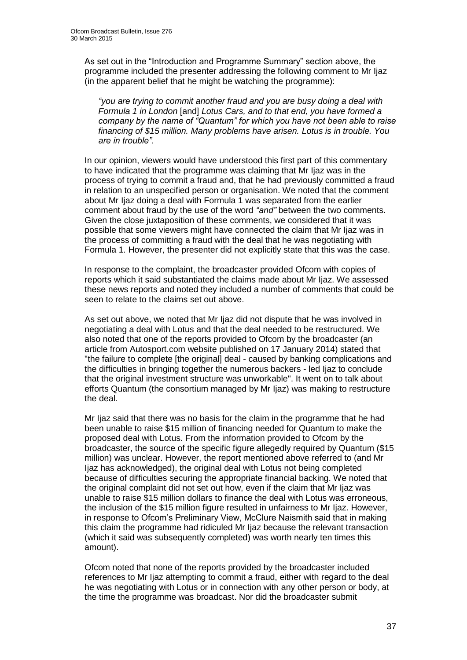As set out in the "Introduction and Programme Summary" section above, the programme included the presenter addressing the following comment to Mr Ijaz (in the apparent belief that he might be watching the programme):

*"you are trying to commit another fraud and you are busy doing a deal with Formula 1 in London* [and] *Lotus Cars, and to that end, you have formed a company by the name of "Quantum" for which you have not been able to raise financing of \$15 million. Many problems have arisen. Lotus is in trouble. You are in trouble".* 

In our opinion, viewers would have understood this first part of this commentary to have indicated that the programme was claiming that Mr Ijaz was in the process of trying to commit a fraud and, that he had previously committed a fraud in relation to an unspecified person or organisation. We noted that the comment about Mr Ijaz doing a deal with Formula 1 was separated from the earlier comment about fraud by the use of the word *"and"* between the two comments. Given the close juxtaposition of these comments, we considered that it was possible that some viewers might have connected the claim that Mr Ijaz was in the process of committing a fraud with the deal that he was negotiating with Formula 1. However, the presenter did not explicitly state that this was the case.

In response to the complaint, the broadcaster provided Ofcom with copies of reports which it said substantiated the claims made about Mr Ijaz. We assessed these news reports and noted they included a number of comments that could be seen to relate to the claims set out above.

As set out above, we noted that Mr Ijaz did not dispute that he was involved in negotiating a deal with Lotus and that the deal needed to be restructured. We also noted that one of the reports provided to Ofcom by the broadcaster (an article from Autosport.com website published on 17 January 2014) stated that "the failure to complete [the original] deal - caused by banking complications and the difficulties in bringing together the numerous backers - led Ijaz to conclude that the original investment structure was unworkable". It went on to talk about efforts Quantum (the consortium managed by Mr Ijaz) was making to restructure the deal.

Mr Ijaz said that there was no basis for the claim in the programme that he had been unable to raise \$15 million of financing needed for Quantum to make the proposed deal with Lotus. From the information provided to Ofcom by the broadcaster, the source of the specific figure allegedly required by Quantum (\$15 million) was unclear. However, the report mentioned above referred to (and Mr Ijaz has acknowledged), the original deal with Lotus not being completed because of difficulties securing the appropriate financial backing. We noted that the original complaint did not set out how, even if the claim that Mr Ijaz was unable to raise \$15 million dollars to finance the deal with Lotus was erroneous, the inclusion of the \$15 million figure resulted in unfairness to Mr Ijaz. However, in response to Ofcom's Preliminary View, McClure Naismith said that in making this claim the programme had ridiculed Mr Ijaz because the relevant transaction (which it said was subsequently completed) was worth nearly ten times this amount).

Ofcom noted that none of the reports provided by the broadcaster included references to Mr Ijaz attempting to commit a fraud, either with regard to the deal he was negotiating with Lotus or in connection with any other person or body, at the time the programme was broadcast. Nor did the broadcaster submit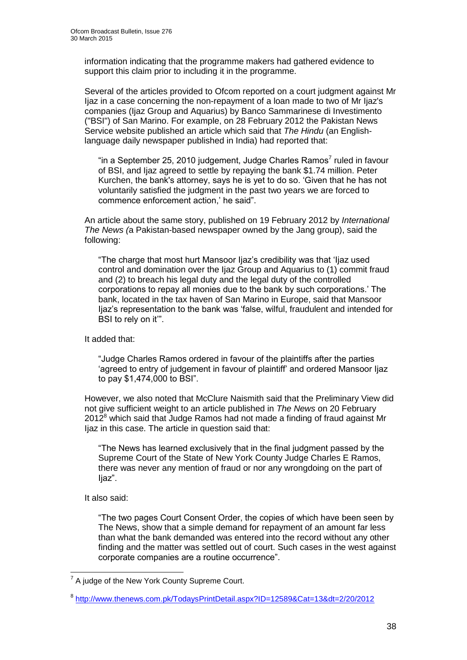information indicating that the programme makers had gathered evidence to support this claim prior to including it in the programme.

Several of the articles provided to Ofcom reported on a court judgment against Mr Ijaz in a case concerning the non-repayment of a loan made to two of Mr Ijaz's companies (Ijaz Group and Aquarius) by Banco Sammarinese di Investimento ("BSI") of San Marino. For example, on 28 February 2012 the Pakistan News Service website published an article which said that *The Hindu* (an Englishlanguage daily newspaper published in India) had reported that:

"in a September 25, 2010 judgement, Judge Charles Ramos<sup>7</sup> ruled in favour of BSI, and Ijaz agreed to settle by repaying the bank \$1.74 million. Peter Kurchen, the bank's attorney, says he is yet to do so. 'Given that he has not voluntarily satisfied the judgment in the past two years we are forced to commence enforcement action,' he said".

An article about the same story, published on 19 February 2012 by *International The News (*a Pakistan-based newspaper owned by the Jang group), said the following:

"The charge that most hurt Mansoor Ijaz's credibility was that 'Ijaz used control and domination over the Ijaz Group and Aquarius to (1) commit fraud and (2) to breach his legal duty and the legal duty of the controlled corporations to repay all monies due to the bank by such corporations.' The bank, located in the tax haven of San Marino in Europe, said that Mansoor Ijaz's representation to the bank was 'false, wilful, fraudulent and intended for BSI to rely on it'".

It added that:

"Judge Charles Ramos ordered in favour of the plaintiffs after the parties 'agreed to entry of judgement in favour of plaintiff' and ordered Mansoor Ijaz to pay \$1,474,000 to BSI".

However, we also noted that McClure Naismith said that the Preliminary View did not give sufficient weight to an article published in *The News* on 20 February  $2012<sup>8</sup>$  which said that Judge Ramos had not made a finding of fraud against Mr Ijaz in this case. The article in question said that:

"The News has learned exclusively that in the final judgment passed by the Supreme Court of the State of New York County Judge Charles E Ramos, there was never any mention of fraud or nor any wrongdoing on the part of Ijaz".

It also said:

1

"The two pages Court Consent Order, the copies of which have been seen by The News, show that a simple demand for repayment of an amount far less than what the bank demanded was entered into the record without any other finding and the matter was settled out of court. Such cases in the west against corporate companies are a routine occurrence".

 $7$  A judge of the New York County Supreme Court.

<sup>8</sup> <http://www.thenews.com.pk/TodaysPrintDetail.aspx?ID=12589&Cat=13&dt=2/20/2012>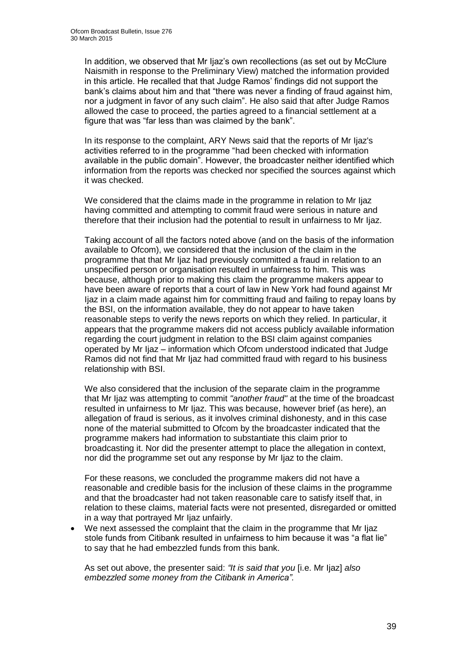In addition, we observed that Mr Ijaz's own recollections (as set out by McClure Naismith in response to the Preliminary View) matched the information provided in this article. He recalled that that Judge Ramos' findings did not support the bank's claims about him and that "there was never a finding of fraud against him, nor a judgment in favor of any such claim". He also said that after Judge Ramos allowed the case to proceed, the parties agreed to a financial settlement at a figure that was "far less than was claimed by the bank".

In its response to the complaint, ARY News said that the reports of Mr Ijaz's activities referred to in the programme "had been checked with information available in the public domain". However, the broadcaster neither identified which information from the reports was checked nor specified the sources against which it was checked.

We considered that the claims made in the programme in relation to Mr Ijaz having committed and attempting to commit fraud were serious in nature and therefore that their inclusion had the potential to result in unfairness to Mr Ijaz.

Taking account of all the factors noted above (and on the basis of the information available to Ofcom), we considered that the inclusion of the claim in the programme that that Mr Ijaz had previously committed a fraud in relation to an unspecified person or organisation resulted in unfairness to him. This was because, although prior to making this claim the programme makers appear to have been aware of reports that a court of law in New York had found against Mr Ijaz in a claim made against him for committing fraud and failing to repay loans by the BSI, on the information available, they do not appear to have taken reasonable steps to verify the news reports on which they relied. In particular, it appears that the programme makers did not access publicly available information regarding the court judgment in relation to the BSI claim against companies operated by Mr Ijaz – information which Ofcom understood indicated that Judge Ramos did not find that Mr Ijaz had committed fraud with regard to his business relationship with BSI.

We also considered that the inclusion of the separate claim in the programme that Mr Ijaz was attempting to commit *"another fraud"* at the time of the broadcast resulted in unfairness to Mr Ijaz. This was because, however brief (as here), an allegation of fraud is serious, as it involves criminal dishonesty, and in this case none of the material submitted to Ofcom by the broadcaster indicated that the programme makers had information to substantiate this claim prior to broadcasting it. Nor did the presenter attempt to place the allegation in context, nor did the programme set out any response by Mr Ijaz to the claim.

For these reasons, we concluded the programme makers did not have a reasonable and credible basis for the inclusion of these claims in the programme and that the broadcaster had not taken reasonable care to satisfy itself that, in relation to these claims, material facts were not presented, disregarded or omitted in a way that portrayed Mr Ijaz unfairly.

• We next assessed the complaint that the claim in the programme that Mr liaz stole funds from Citibank resulted in unfairness to him because it was "a flat lie" to say that he had embezzled funds from this bank.

As set out above, the presenter said: *"It is said that you* [i.e. Mr Ijaz] *also embezzled some money from the Citibank in America".*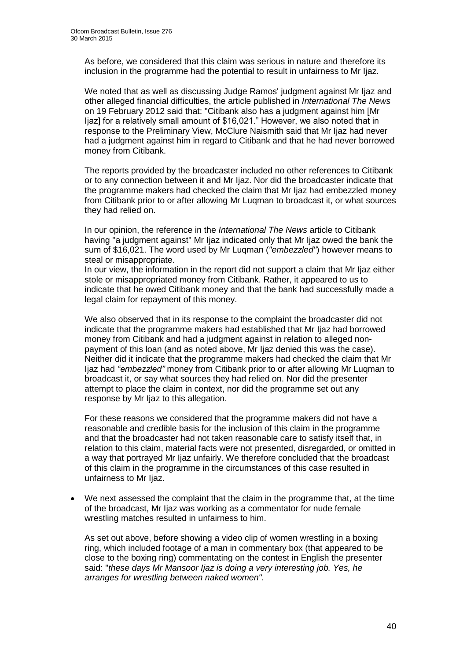As before, we considered that this claim was serious in nature and therefore its inclusion in the programme had the potential to result in unfairness to Mr Ijaz.

We noted that as well as discussing Judge Ramos' judgment against Mr Ijaz and other alleged financial difficulties, the article published in *International The News*  on 19 February 2012 said that: "Citibank also has a judgment against him [Mr Ijaz] for a relatively small amount of \$16,021." However, we also noted that in response to the Preliminary View, McClure Naismith said that Mr Ijaz had never had a judgment against him in regard to Citibank and that he had never borrowed money from Citibank.

The reports provided by the broadcaster included no other references to Citibank or to any connection between it and Mr Ijaz. Nor did the broadcaster indicate that the programme makers had checked the claim that Mr Ijaz had embezzled money from Citibank prior to or after allowing Mr Luqman to broadcast it, or what sources they had relied on.

In our opinion, the reference in the *International The News* article to Citibank having "a judgment against" Mr Ijaz indicated only that Mr Ijaz owed the bank the sum of \$16,021. The word used by Mr Luqman (*"embezzled"*) however means to steal or misappropriate.

In our view, the information in the report did not support a claim that Mr Ijaz either stole or misappropriated money from Citibank. Rather, it appeared to us to indicate that he owed Citibank money and that the bank had successfully made a legal claim for repayment of this money.

We also observed that in its response to the complaint the broadcaster did not indicate that the programme makers had established that Mr Ijaz had borrowed money from Citibank and had a judgment against in relation to alleged nonpayment of this loan (and as noted above, Mr Ijaz denied this was the case). Neither did it indicate that the programme makers had checked the claim that Mr Ijaz had *"embezzled"* money from Citibank prior to or after allowing Mr Luqman to broadcast it, or say what sources they had relied on. Nor did the presenter attempt to place the claim in context, nor did the programme set out any response by Mr Ijaz to this allegation.

For these reasons we considered that the programme makers did not have a reasonable and credible basis for the inclusion of this claim in the programme and that the broadcaster had not taken reasonable care to satisfy itself that, in relation to this claim, material facts were not presented, disregarded, or omitted in a way that portrayed Mr Ijaz unfairly. We therefore concluded that the broadcast of this claim in the programme in the circumstances of this case resulted in unfairness to Mr Ijaz.

 We next assessed the complaint that the claim in the programme that, at the time of the broadcast, Mr Ijaz was working as a commentator for nude female wrestling matches resulted in unfairness to him.

As set out above, before showing a video clip of women wrestling in a boxing ring, which included footage of a man in commentary box (that appeared to be close to the boxing ring) commentating on the contest in English the presenter said: "*these days Mr Mansoor Ijaz is doing a very interesting job. Yes, he arranges for wrestling between naked women".*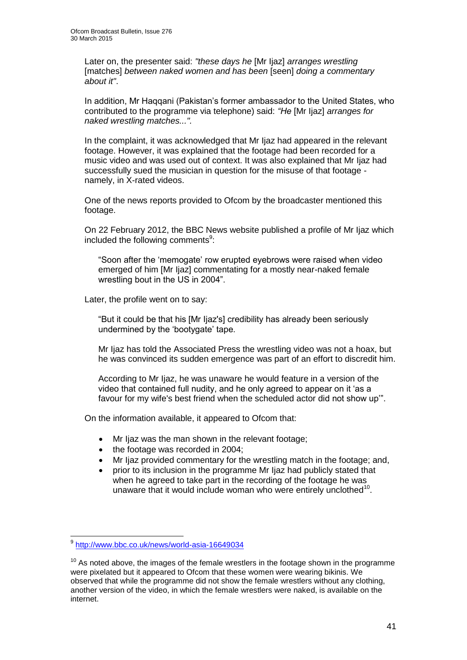Later on, the presenter said: *"these days he* [Mr Ijaz] *arranges wrestling*  [matches] *between naked women and has been* [seen] *doing a commentary about it"*.

In addition, Mr Haqqani (Pakistan's former ambassador to the United States, who contributed to the programme via telephone) said: *"He* [Mr Ijaz] *arranges for naked wrestling matches...".*

In the complaint, it was acknowledged that Mr Ijaz had appeared in the relevant footage. However, it was explained that the footage had been recorded for a music video and was used out of context. It was also explained that Mr Ijaz had successfully sued the musician in question for the misuse of that footage namely, in X-rated videos.

One of the news reports provided to Ofcom by the broadcaster mentioned this footage.

On 22 February 2012, the BBC News website published a profile of Mr Ijaz which included the following comments<sup>9</sup>:

"Soon after the 'memogate' row erupted eyebrows were raised when video emerged of him [Mr Ijaz] commentating for a mostly near-naked female wrestling bout in the US in 2004".

Later, the profile went on to say:

"But it could be that his [Mr Ijaz's] credibility has already been seriously undermined by the 'bootygate' tape.

Mr Ijaz has told the Associated Press the wrestling video was not a hoax, but he was convinced its sudden emergence was part of an effort to discredit him.

According to Mr Ijaz, he was unaware he would feature in a version of the video that contained full nudity, and he only agreed to appear on it 'as a favour for my wife's best friend when the scheduled actor did not show up'".

On the information available, it appeared to Ofcom that:

- Mr Ijaz was the man shown in the relevant footage;
- the footage was recorded in 2004;
- Mr Ijaz provided commentary for the wrestling match in the footage; and,
- prior to its inclusion in the programme Mr Ijaz had publicly stated that when he agreed to take part in the recording of the footage he was unaware that it would include woman who were entirely unclothed<sup>10</sup>.

 9 <http://www.bbc.co.uk/news/world-asia-16649034>

 $10$  As noted above, the images of the female wrestlers in the footage shown in the programme were pixelated but it appeared to Ofcom that these women were wearing bikinis. We observed that while the programme did not show the female wrestlers without any clothing, another version of the video, in which the female wrestlers were naked, is available on the internet.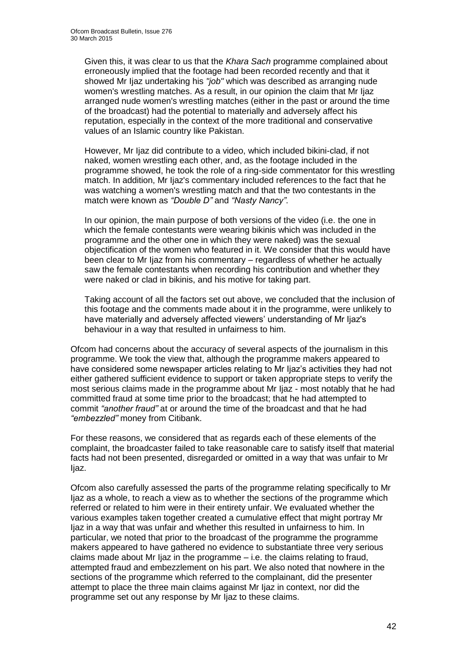Given this, it was clear to us that the *Khara Sach* programme complained about erroneously implied that the footage had been recorded recently and that it showed Mr Ijaz undertaking his *"job"* which was described as arranging nude women's wrestling matches. As a result, in our opinion the claim that Mr Ijaz arranged nude women's wrestling matches (either in the past or around the time of the broadcast) had the potential to materially and adversely affect his reputation, especially in the context of the more traditional and conservative values of an Islamic country like Pakistan.

However, Mr Ijaz did contribute to a video, which included bikini-clad, if not naked, women wrestling each other, and, as the footage included in the programme showed, he took the role of a ring-side commentator for this wrestling match. In addition, Mr Ijaz's commentary included references to the fact that he was watching a women's wrestling match and that the two contestants in the match were known as *"Double D"* and *"Nasty Nancy"*.

In our opinion, the main purpose of both versions of the video (i.e. the one in which the female contestants were wearing bikinis which was included in the programme and the other one in which they were naked) was the sexual objectification of the women who featured in it. We consider that this would have been clear to Mr Ijaz from his commentary – regardless of whether he actually saw the female contestants when recording his contribution and whether they were naked or clad in bikinis, and his motive for taking part.

Taking account of all the factors set out above, we concluded that the inclusion of this footage and the comments made about it in the programme, were unlikely to have materially and adversely affected viewers' understanding of Mr Ijaz's behaviour in a way that resulted in unfairness to him.

Ofcom had concerns about the accuracy of several aspects of the journalism in this programme. We took the view that, although the programme makers appeared to have considered some newspaper articles relating to Mr Ijaz's activities they had not either gathered sufficient evidence to support or taken appropriate steps to verify the most serious claims made in the programme about Mr Ijaz - most notably that he had committed fraud at some time prior to the broadcast; that he had attempted to commit *"another fraud"* at or around the time of the broadcast and that he had *"embezzled"* money from Citibank.

For these reasons, we considered that as regards each of these elements of the complaint, the broadcaster failed to take reasonable care to satisfy itself that material facts had not been presented, disregarded or omitted in a way that was unfair to Mr liaz.

Ofcom also carefully assessed the parts of the programme relating specifically to Mr Ijaz as a whole, to reach a view as to whether the sections of the programme which referred or related to him were in their entirety unfair. We evaluated whether the various examples taken together created a cumulative effect that might portray Mr Ijaz in a way that was unfair and whether this resulted in unfairness to him. In particular, we noted that prior to the broadcast of the programme the programme makers appeared to have gathered no evidence to substantiate three very serious claims made about Mr Ijaz in the programme – i.e. the claims relating to fraud, attempted fraud and embezzlement on his part. We also noted that nowhere in the sections of the programme which referred to the complainant, did the presenter attempt to place the three main claims against Mr Ijaz in context, nor did the programme set out any response by Mr Ijaz to these claims.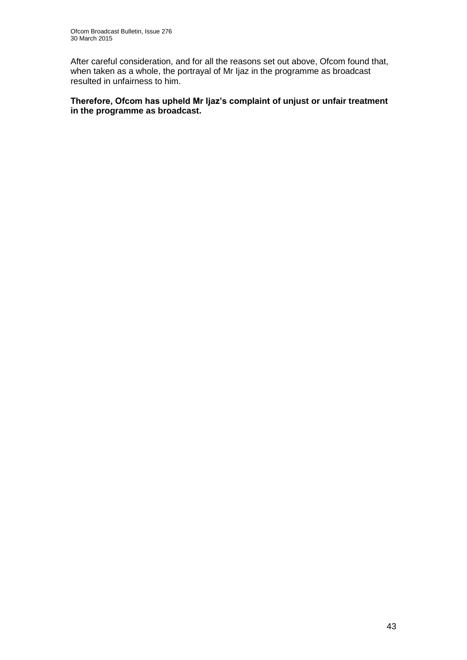After careful consideration, and for all the reasons set out above, Ofcom found that, when taken as a whole, the portrayal of Mr Ijaz in the programme as broadcast resulted in unfairness to him.

## **Therefore, Ofcom has upheld Mr Ijaz's complaint of unjust or unfair treatment in the programme as broadcast.**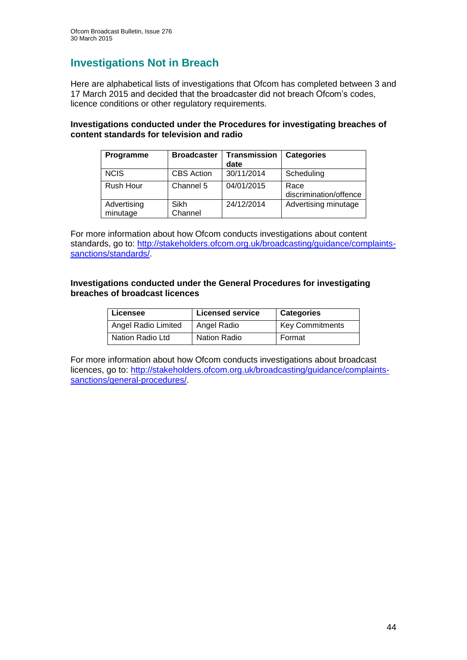## **Investigations Not in Breach**

Here are alphabetical lists of investigations that Ofcom has completed between 3 and 17 March 2015 and decided that the broadcaster did not breach Ofcom's codes, licence conditions or other regulatory requirements.

#### **Investigations conducted under the Procedures for investigating breaches of content standards for television and radio**

| Programme               | <b>Broadcaster</b> | <b>Transmission</b><br>date | <b>Categories</b>              |
|-------------------------|--------------------|-----------------------------|--------------------------------|
| <b>NCIS</b>             | <b>CBS Action</b>  | 30/11/2014                  | Scheduling                     |
| <b>Rush Hour</b>        | Channel 5          | 04/01/2015                  | Race<br>discrimination/offence |
| Advertising<br>minutage | Sikh<br>Channel    | 24/12/2014                  | Advertising minutage           |

For more information about how Ofcom conducts investigations about content standards, go to: [http://stakeholders.ofcom.org.uk/broadcasting/guidance/complaints](http://stakeholders.ofcom.org.uk/broadcasting/guidance/complaints-sanctions/standards/)[sanctions/standards/.](http://stakeholders.ofcom.org.uk/broadcasting/guidance/complaints-sanctions/standards/)

## **Investigations conducted under the General Procedures for investigating breaches of broadcast licences**

| Licensee            | <b>Licensed service</b> | <b>Categories</b>      |
|---------------------|-------------------------|------------------------|
| Angel Radio Limited | Angel Radio             | <b>Key Commitments</b> |
| Nation Radio Ltd    | <b>Nation Radio</b>     | Format                 |

For more information about how Ofcom conducts investigations about broadcast licences, go to: [http://stakeholders.ofcom.org.uk/broadcasting/guidance/complaints](http://stakeholders.ofcom.org.uk/broadcasting/guidance/complaints-sanctions/general-procedures/)[sanctions/general-procedures/.](http://stakeholders.ofcom.org.uk/broadcasting/guidance/complaints-sanctions/general-procedures/)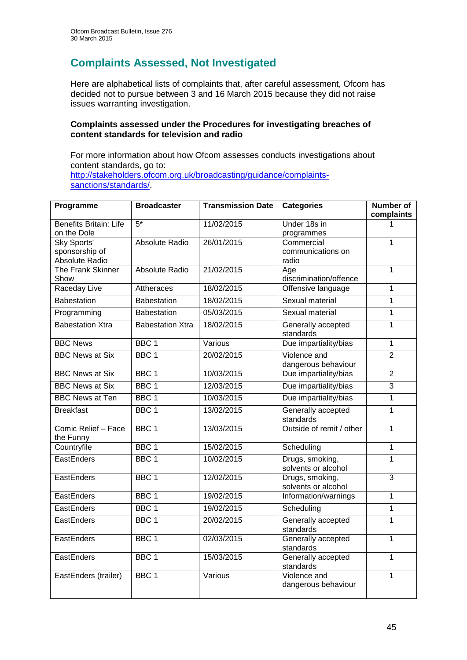## **Complaints Assessed, Not Investigated**

Here are alphabetical lists of complaints that, after careful assessment, Ofcom has decided not to pursue between 3 and 16 March 2015 because they did not raise issues warranting investigation.

## **Complaints assessed under the Procedures for investigating breaches of content standards for television and radio**

For more information about how Ofcom assesses conducts investigations about content standards, go to: [http://stakeholders.ofcom.org.uk/broadcasting/guidance/complaints](http://stakeholders.ofcom.org.uk/broadcasting/guidance/complaints-sanctions/standards/)sanctions/standards/

| Programme                        | <b>Broadcaster</b>      | <b>Transmission Date</b> | <b>Categories</b>                      | <b>Number of</b><br>complaints |
|----------------------------------|-------------------------|--------------------------|----------------------------------------|--------------------------------|
| <b>Benefits Britain: Life</b>    | $5*$                    | 11/02/2015               | Under 18s in                           | 1                              |
| on the Dole                      |                         |                          | programmes                             |                                |
| <b>Sky Sports'</b>               | <b>Absolute Radio</b>   | 26/01/2015               | Commercial                             | $\overline{1}$                 |
| sponsorship of                   |                         |                          | communications on                      |                                |
| Absolute Radio                   |                         |                          | radio                                  |                                |
| The Frank Skinner<br>Show        | Absolute Radio          | 21/02/2015               | Age<br>discrimination/offence          | 1                              |
| Raceday Live                     | Attheraces              | 18/02/2015               | Offensive language                     | $\overline{1}$                 |
| Babestation                      | Babestation             | 18/02/2015               | Sexual material                        | $\mathbf{1}$                   |
| Programming                      | Babestation             | 05/03/2015               | Sexual material                        | 1                              |
| <b>Babestation Xtra</b>          | <b>Babestation Xtra</b> | 18/02/2015               | Generally accepted<br>standards        | 1                              |
| <b>BBC News</b>                  | BBC <sub>1</sub>        | Various                  | Due impartiality/bias                  | $\overline{1}$                 |
| <b>BBC News at Six</b>           | BBC <sub>1</sub>        | 20/02/2015               | Violence and<br>dangerous behaviour    | $\overline{2}$                 |
| <b>BBC News at Six</b>           | BBC <sub>1</sub>        | 10/03/2015               | Due impartiality/bias                  | $\overline{2}$                 |
| <b>BBC News at Six</b>           | BBC <sub>1</sub>        | 12/03/2015               | Due impartiality/bias                  | $\overline{3}$                 |
| <b>BBC News at Ten</b>           | BBC <sub>1</sub>        | 10/03/2015               | Due impartiality/bias                  | $\overline{1}$                 |
| <b>Breakfast</b>                 | BBC <sub>1</sub>        | 13/02/2015               | Generally accepted<br>standards        | $\overline{1}$                 |
| Comic Relief - Face<br>the Funny | BBC <sub>1</sub>        | 13/03/2015               | Outside of remit / other               | 1                              |
| Countryfile                      | BBC <sub>1</sub>        | 15/02/2015               | Scheduling                             | $\mathbf{1}$                   |
| <b>EastEnders</b>                | BBC <sub>1</sub>        | 10/02/2015               | Drugs, smoking,<br>solvents or alcohol | $\overline{1}$                 |
| EastEnders                       | BBC <sub>1</sub>        | 12/02/2015               | Drugs, smoking,<br>solvents or alcohol | $\overline{3}$                 |
| EastEnders                       | BBC <sub>1</sub>        | 19/02/2015               | Information/warnings                   | $\mathbf{1}$                   |
| EastEnders                       | BBC <sub>1</sub>        | 19/02/2015               | Scheduling                             | $\mathbf{1}$                   |
| EastEnders                       | BBC <sub>1</sub>        | 20/02/2015               | Generally accepted<br>standards        | $\overline{1}$                 |
| EastEnders                       | BBC <sub>1</sub>        | 02/03/2015               | Generally accepted<br>standards        | $\overline{1}$                 |
| EastEnders                       | BBC <sub>1</sub>        | 15/03/2015               | Generally accepted<br>standards        | $\mathbf{1}$                   |
| EastEnders (trailer)             | BBC <sub>1</sub>        | Various                  | Violence and<br>dangerous behaviour    | $\overline{1}$                 |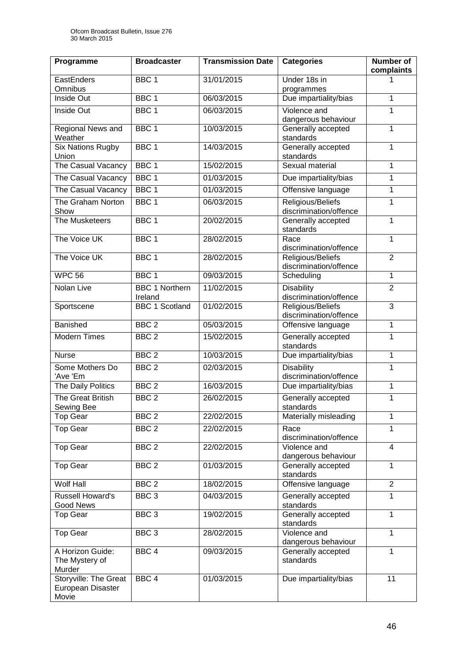| Programme                                           | <b>Broadcaster</b>               | <b>Transmission Date</b> | <b>Categories</b>                           | Number of<br>complaints |
|-----------------------------------------------------|----------------------------------|--------------------------|---------------------------------------------|-------------------------|
| EastEnders<br>Omnibus                               | BBC <sub>1</sub>                 | 31/01/2015               | Under 18s in                                | 1                       |
| Inside Out                                          | BBC <sub>1</sub>                 | 06/03/2015               | programmes<br>Due impartiality/bias         | 1                       |
| Inside Out                                          | BBC <sub>1</sub>                 | 06/03/2015               | Violence and<br>dangerous behaviour         | 1                       |
| Regional News and<br>Weather                        | BBC <sub>1</sub>                 | 10/03/2015               | Generally accepted<br>standards             | 1                       |
| <b>Six Nations Rugby</b><br>Union                   | BBC <sub>1</sub>                 | 14/03/2015               | Generally accepted<br>standards             | $\mathbf{1}$            |
| The Casual Vacancy                                  | BBC <sub>1</sub>                 | 15/02/2015               | Sexual material                             | $\mathbf{1}$            |
| The Casual Vacancy                                  | BBC <sub>1</sub>                 | 01/03/2015               | Due impartiality/bias                       | $\mathbf{1}$            |
| The Casual Vacancy                                  | BBC <sub>1</sub>                 | 01/03/2015               | Offensive language                          | $\mathbf{1}$            |
| The Graham Norton<br>Show                           | BBC <sub>1</sub>                 | 06/03/2015               | Religious/Beliefs<br>discrimination/offence | 1                       |
| The Musketeers                                      | BBC <sub>1</sub>                 | 20/02/2015               | Generally accepted<br>standards             | $\mathbf{1}$            |
| The Voice UK                                        | BBC <sub>1</sub>                 | 28/02/2015               | Race<br>discrimination/offence              | $\mathbf{1}$            |
| The Voice UK                                        | BBC <sub>1</sub>                 | 28/02/2015               | Religious/Beliefs<br>discrimination/offence | $\overline{2}$          |
| <b>WPC 56</b>                                       | BBC <sub>1</sub>                 | 09/03/2015               | Scheduling                                  | $\mathbf{1}$            |
| Nolan Live                                          | <b>BBC 1 Northern</b><br>Ireland | 11/02/2015               | <b>Disability</b><br>discrimination/offence | $\overline{2}$          |
| Sportscene                                          | <b>BBC 1 Scotland</b>            | 01/02/2015               | Religious/Beliefs<br>discrimination/offence | $\overline{3}$          |
| Banished                                            | BBC <sub>2</sub>                 | 05/03/2015               | Offensive language                          | $\mathbf{1}$            |
| <b>Modern Times</b>                                 | BBC <sub>2</sub>                 | 15/02/2015               | Generally accepted<br>standards             | $\mathbf{1}$            |
| <b>Nurse</b>                                        | BBC <sub>2</sub>                 | 10/03/2015               | Due impartiality/bias                       | $\mathbf{1}$            |
| Some Mothers Do<br>'Ave 'Em                         | BBC <sub>2</sub>                 | 02/03/2015               | <b>Disability</b><br>discrimination/offence | $\mathbf{1}$            |
| The Daily Politics                                  | BBC <sub>2</sub>                 | 16/03/2015               | Due impartiality/bias                       | $\mathbf 1$             |
| <b>The Great British</b><br>Sewing Bee              | BBC <sub>2</sub>                 | 26/02/2015               | Generally accepted<br>standards             | $\mathbf{1}$            |
| <b>Top Gear</b>                                     | BBC <sub>2</sub>                 | 22/02/2015               | Materially misleading                       | $\mathbf{1}$            |
| <b>Top Gear</b>                                     | $BBC$ <sub>2</sub>               | 22/02/2015               | Race<br>discrimination/offence              | $\overline{1}$          |
| <b>Top Gear</b>                                     | BBC <sub>2</sub>                 | 22/02/2015               | Violence and<br>dangerous behaviour         | $\overline{4}$          |
| <b>Top Gear</b>                                     | BBC <sub>2</sub>                 | 01/03/2015               | Generally accepted<br>standards             | 1                       |
| Wolf Hall                                           | BBC <sub>2</sub>                 | 18/02/2015               | Offensive language                          | $\overline{2}$          |
| <b>Russell Howard's</b><br>Good News                | BBC <sub>3</sub>                 | 04/03/2015               | Generally accepted<br>standards             | 1                       |
| <b>Top Gear</b>                                     | BBC <sub>3</sub>                 | 19/02/2015               | Generally accepted<br>standards             | $\mathbf{1}$            |
| <b>Top Gear</b>                                     | BBC <sub>3</sub>                 | 28/02/2015               | Violence and<br>dangerous behaviour         | $\mathbf{1}$            |
| A Horizon Guide:<br>The Mystery of<br>Murder        | BBC <sub>4</sub>                 | 09/03/2015               | Generally accepted<br>standards             | $\mathbf{1}$            |
| Storyville: The Great<br>European Disaster<br>Movie | BBC <sub>4</sub>                 | 01/03/2015               | Due impartiality/bias                       | 11                      |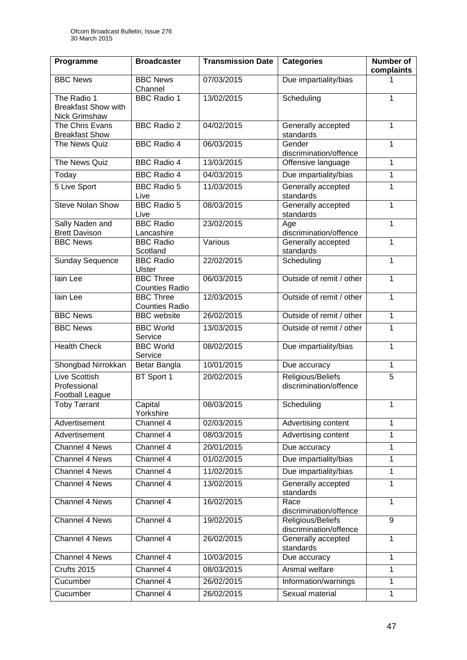| Programme                                                      | <b>Broadcaster</b>                        | <b>Transmission Date</b> | <b>Categories</b>                           | Number of<br>complaints |
|----------------------------------------------------------------|-------------------------------------------|--------------------------|---------------------------------------------|-------------------------|
| <b>BBC News</b>                                                | <b>BBC News</b><br>Channel                | 07/03/2015               | Due impartiality/bias                       | 1                       |
| The Radio 1                                                    | <b>BBC Radio 1</b>                        | 13/02/2015               | Scheduling                                  | 1                       |
| <b>Breakfast Show with</b><br>Nick Grimshaw                    |                                           |                          |                                             |                         |
| The Chris Evans<br><b>Breakfast Show</b>                       | <b>BBC Radio 2</b>                        | 04/02/2015               | Generally accepted<br>standards             | 1                       |
| The News Quiz                                                  | <b>BBC Radio 4</b>                        | 06/03/2015               | Gender<br>discrimination/offence            | 1                       |
| The News Quiz                                                  | <b>BBC Radio 4</b>                        | 13/03/2015               | Offensive language                          | 1                       |
| Today                                                          | <b>BBC Radio 4</b>                        | 04/03/2015               | Due impartiality/bias                       | 1                       |
| 5 Live Sport                                                   | <b>BBC Radio 5</b><br>Live                | 11/03/2015               | Generally accepted<br>standards             | 1                       |
| <b>Steve Nolan Show</b>                                        | <b>BBC Radio 5</b><br>Live                | 08/03/2015               | Generally accepted<br>standards             | 1                       |
| Sally Naden and                                                | <b>BBC Radio</b>                          | 23/02/2015               | Age                                         | $\mathbf{1}$            |
| <b>Brett Davison</b>                                           | Lancashire                                |                          | discrimination/offence                      |                         |
| <b>BBC News</b>                                                | <b>BBC Radio</b><br>Scotland              | Various                  | Generally accepted<br>standards             | 1                       |
| <b>Sunday Sequence</b>                                         | <b>BBC Radio</b><br><b>Ulster</b>         | 22/02/2015               | Scheduling                                  | $\mathbf{1}$            |
| lain Lee                                                       | <b>BBC Three</b><br><b>Counties Radio</b> | 06/03/2015               | Outside of remit / other                    | $\overline{1}$          |
| lain Lee                                                       | <b>BBC Three</b><br><b>Counties Radio</b> | 12/03/2015               | Outside of remit / other                    | 1                       |
| <b>BBC News</b>                                                | <b>BBC</b> website                        | 26/02/2015               | Outside of remit / other                    | $\mathbf{1}$            |
| <b>BBC News</b>                                                | <b>BBC World</b><br>Service               | 13/03/2015               | Outside of remit / other                    | 1                       |
| <b>Health Check</b>                                            | <b>BBC World</b><br>Service               | 08/02/2015               | Due impartiality/bias                       | $\mathbf{1}$            |
| Shongbad Nirrokkan                                             | Betar Bangla                              | 10/01/2015               | Due accuracy                                | $\mathbf{1}$            |
| <b>Live Scottish</b><br>Professional<br><b>Football League</b> | BT Sport 1                                | 20/02/2015               | Religious/Beliefs<br>discrimination/offence | $\overline{5}$          |
| <b>Toby Tarrant</b>                                            | Capital<br>Yorkshire                      | 08/03/2015               | Scheduling                                  | 1                       |
| Advertisement                                                  | Channel 4                                 | 02/03/2015               | Advertising content                         | 1                       |
| Advertisement                                                  | Channel 4                                 | 08/03/2015               | Advertising content                         | 1                       |
| Channel 4 News                                                 | Channel 4                                 | 20/01/2015               | Due accuracy                                | $\mathbf{1}$            |
| Channel 4 News                                                 | Channel 4                                 | 01/02/2015               | Due impartiality/bias                       | 1                       |
| <b>Channel 4 News</b>                                          | Channel 4                                 | 11/02/2015               | Due impartiality/bias                       | 1                       |
| Channel 4 News                                                 | Channel 4                                 | 13/02/2015               | Generally accepted<br>standards             | 1                       |
| Channel 4 News                                                 | Channel 4                                 | 16/02/2015               | Race<br>discrimination/offence              | 1                       |
| Channel 4 News                                                 | Channel 4                                 | 19/02/2015               | Religious/Beliefs<br>discrimination/offence | 9                       |
| Channel 4 News                                                 | Channel 4                                 | 26/02/2015               | Generally accepted<br>standards             | 1                       |
| Channel 4 News                                                 | Channel 4                                 | 10/03/2015               | Due accuracy                                | $\mathbf{1}$            |
| Crufts 2015                                                    | Channel 4                                 | 08/03/2015               | Animal welfare                              | 1                       |
| Cucumber                                                       | Channel 4                                 | 26/02/2015               | Information/warnings                        | 1                       |
| Cucumber                                                       | Channel 4                                 | 26/02/2015               | Sexual material                             | $\mathbf{1}$            |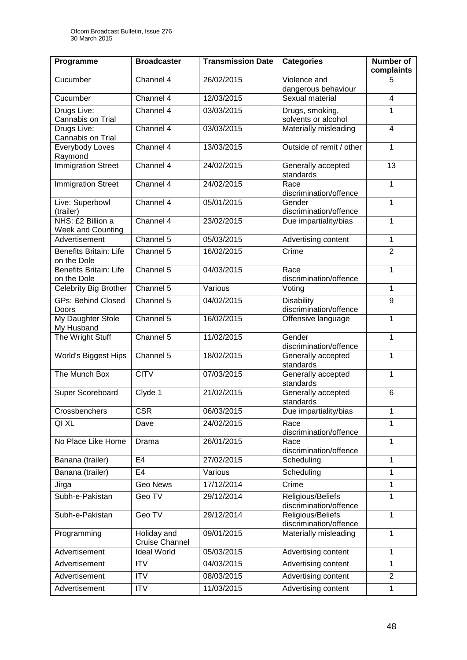| Programme                                    | <b>Broadcaster</b>                   | <b>Transmission Date</b> | <b>Categories</b>                           | <b>Number of</b><br>complaints |
|----------------------------------------------|--------------------------------------|--------------------------|---------------------------------------------|--------------------------------|
| Cucumber                                     | Channel 4                            | 26/02/2015               | Violence and                                | 5                              |
|                                              |                                      |                          | dangerous behaviour                         |                                |
| Cucumber                                     | Channel 4                            | 12/03/2015               | Sexual material                             | $\overline{4}$                 |
| Drugs Live:<br>Cannabis on Trial             | Channel 4                            | 03/03/2015               | Drugs, smoking,<br>solvents or alcohol      | 1                              |
| Drugs Live:<br>Cannabis on Trial             | Channel 4                            | 03/03/2015               | Materially misleading                       | 4                              |
| Everybody Loves<br>Raymond                   | Channel 4                            | 13/03/2015               | Outside of remit / other                    | 1                              |
| <b>Immigration Street</b>                    | Channel 4                            | 24/02/2015               | Generally accepted<br>standards             | 13                             |
| <b>Immigration Street</b>                    | Channel 4                            | 24/02/2015               | Race<br>discrimination/offence              | $\mathbf{1}$                   |
| Live: Superbowl<br>(trailer)                 | Channel 4                            | 05/01/2015               | Gender<br>discrimination/offence            | 1                              |
| NHS: £2 Billion a<br>Week and Counting       | Channel 4                            | 23/02/2015               | Due impartiality/bias                       | $\mathbf{1}$                   |
| Advertisement                                | Channel 5                            | 05/03/2015               | Advertising content                         | 1                              |
| <b>Benefits Britain: Life</b><br>on the Dole | Channel 5                            | 16/02/2015               | Crime                                       | $\overline{2}$                 |
| <b>Benefits Britain: Life</b><br>on the Dole | Channel 5                            | 04/03/2015               | Race<br>discrimination/offence              | 1                              |
| Celebrity Big Brother                        | Channel 5                            | Various                  | Voting                                      | 1                              |
| <b>GPs: Behind Closed</b><br>Doors           | Channel 5                            | 04/02/2015               | Disability<br>discrimination/offence        | 9                              |
| My Daughter Stole<br>My Husband              | Channel 5                            | 16/02/2015               | Offensive language                          | 1                              |
| The Wright Stuff                             | Channel 5                            | 11/02/2015               | Gender<br>discrimination/offence            | $\mathbf{1}$                   |
| World's Biggest Hips                         | Channel 5                            | 18/02/2015               | Generally accepted<br>standards             | 1                              |
| The Munch Box                                | <b>CITV</b>                          | 07/03/2015               | Generally accepted<br>standards             | 1                              |
| Super Scoreboard                             | Clyde 1                              | 21/02/2015               | Generally accepted<br>standards             | 6                              |
| Crossbenchers                                | <b>CSR</b>                           | 06/03/2015               | Due impartiality/bias                       | $\mathbf 1$                    |
| QI XL                                        | Dave                                 | 24/02/2015               | Race<br>discrimination/offence              | 1                              |
| No Place Like Home                           | Drama                                | 26/01/2015               | Race<br>discrimination/offence              | 1                              |
| Banana (trailer)                             | E <sub>4</sub>                       | 27/02/2015               | Scheduling                                  | 1                              |
| Banana (trailer)                             | E <sub>4</sub>                       | Various                  | Scheduling                                  | 1                              |
| Jirga                                        | <b>Geo News</b>                      | 17/12/2014               | Crime                                       | 1                              |
| Subh-e-Pakistan                              | Geo TV                               | 29/12/2014               | Religious/Beliefs<br>discrimination/offence | $\mathbf{1}$                   |
| Subh-e-Pakistan                              | Geo TV                               | 29/12/2014               | Religious/Beliefs<br>discrimination/offence | 1                              |
| Programming                                  | Holiday and<br><b>Cruise Channel</b> | 09/01/2015               | Materially misleading                       | 1                              |
| Advertisement                                | <b>Ideal World</b>                   | 05/03/2015               | Advertising content                         | $\mathbf{1}$                   |
| Advertisement                                | <b>ITV</b>                           | 04/03/2015               | Advertising content                         | 1                              |
| Advertisement                                | <b>ITV</b>                           | 08/03/2015               | Advertising content                         | $\overline{2}$                 |
| Advertisement                                | <b>ITV</b>                           | 11/03/2015               | Advertising content                         | $\mathbf{1}$                   |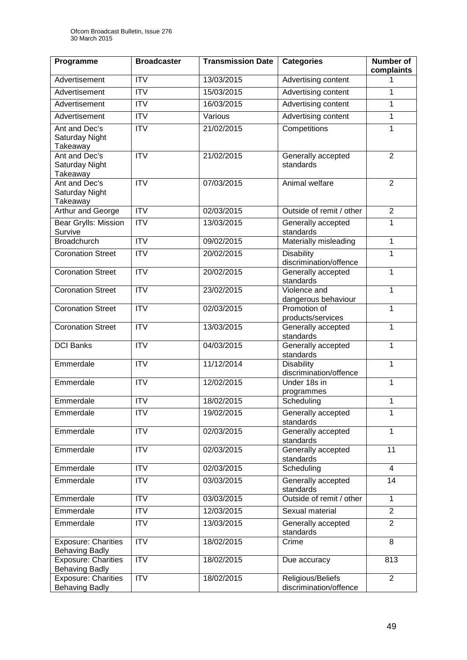| Programme                                           | <b>Broadcaster</b>      | <b>Transmission Date</b> | <b>Categories</b>                           | Number of<br>complaints |
|-----------------------------------------------------|-------------------------|--------------------------|---------------------------------------------|-------------------------|
| Advertisement                                       | <b>ITV</b>              | 13/03/2015               | Advertising content                         | 1                       |
| Advertisement                                       | $\overline{ITV}$        | 15/03/2015               | Advertising content                         | 1                       |
| Advertisement                                       | $\overline{ITV}$        | 16/03/2015               | Advertising content                         | 1                       |
| Advertisement                                       | <b>ITV</b>              | Various                  | Advertising content                         | 1                       |
| Ant and Dec's<br>Saturday Night<br>Takeaway         | $\overline{ITV}$        | 21/02/2015               | Competitions                                | 1                       |
| Ant and Dec's<br>Saturday Night<br>Takeaway         | $\overline{IV}$         | 21/02/2015               | Generally accepted<br>standards             | $\overline{2}$          |
| Ant and Dec's<br>Saturday Night<br>Takeaway         | $\overline{IV}$         | 07/03/2015               | Animal welfare                              | $\overline{2}$          |
| Arthur and George                                   | $\overline{ITV}$        | 02/03/2015               | Outside of remit / other                    | $\overline{2}$          |
| <b>Bear Grylls: Mission</b><br>Survive              | $\overline{\text{IV}}$  | 13/03/2015               | Generally accepted<br>standards             | 1                       |
| <b>Broadchurch</b>                                  | $\overline{IV}$         | 09/02/2015               | Materially misleading                       | 1                       |
| <b>Coronation Street</b>                            | <b>ITV</b>              | 20/02/2015               | <b>Disability</b><br>discrimination/offence | 1                       |
| <b>Coronation Street</b>                            | <b>ITV</b>              | 20/02/2015               | Generally accepted<br>standards             | $\mathbf{1}$            |
| <b>Coronation Street</b>                            | $\overline{\text{IV}}$  | 23/02/2015               | Violence and<br>dangerous behaviour         | $\mathbf{1}$            |
| <b>Coronation Street</b>                            | $\overline{ITV}$        | 02/03/2015               | Promotion of<br>products/services           | $\mathbf{1}$            |
| <b>Coronation Street</b>                            | <b>ITV</b>              | 13/03/2015               | Generally accepted<br>standards             | 1                       |
| <b>DCI Banks</b>                                    | $\overline{ITV}$        | 04/03/2015               | Generally accepted<br>standards             | $\mathbf{1}$            |
| Emmerdale                                           | <b>ITV</b>              | 11/12/2014               | <b>Disability</b><br>discrimination/offence | $\mathbf{1}$            |
| Emmerdale                                           | $\overline{ITV}$        | 12/02/2015               | Under 18s in<br>programmes                  | $\mathbf{1}$            |
| Emmerdale                                           | $\overline{IV}$         | 18/02/2015               | Scheduling                                  | $\mathbf{1}$            |
| Emmerdale                                           | <b>ITV</b>              | 19/02/2015               | Generally accepted<br>standards             | 1                       |
| Emmerdale                                           | ITV                     | 02/03/2015               | Generally accepted<br>standards             | $\mathbf{1}$            |
| Emmerdale                                           | $\overline{\text{ITV}}$ | 02/03/2015               | Generally accepted<br>standards             | 11                      |
| Emmerdale                                           | $\overline{IV}$         | 02/03/2015               | Scheduling                                  | $\overline{4}$          |
| Emmerdale                                           | <b>ITV</b>              | 03/03/2015               | Generally accepted<br>standards             | 14                      |
| Emmerdale                                           | $\overline{IV}$         | 03/03/2015               | Outside of remit / other                    | $\mathbf{1}$            |
| Emmerdale                                           | <b>ITV</b>              | 12/03/2015               | Sexual material                             | $\overline{2}$          |
| Emmerdale                                           | <b>ITV</b>              | 13/03/2015               | Generally accepted<br>standards             | $\overline{2}$          |
| <b>Exposure: Charities</b><br><b>Behaving Badly</b> | <b>ITV</b>              | 18/02/2015               | Crime                                       | 8                       |
| <b>Exposure: Charities</b><br><b>Behaving Badly</b> | <b>ITV</b>              | 18/02/2015               | Due accuracy                                | 813                     |
| <b>Exposure: Charities</b><br><b>Behaving Badly</b> | <b>ITV</b>              | 18/02/2015               | Religious/Beliefs<br>discrimination/offence | $\overline{2}$          |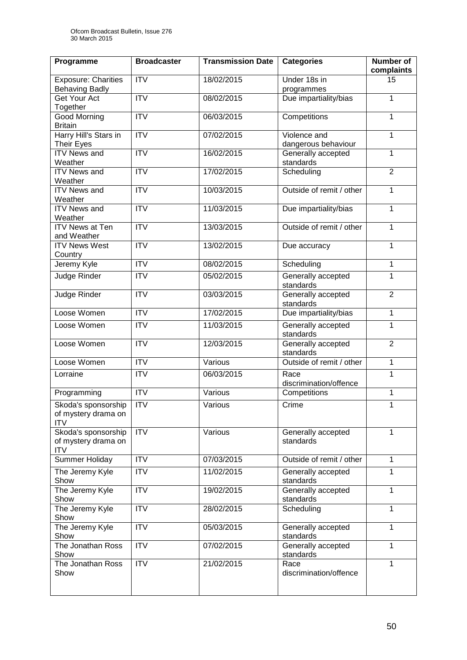| Programme                                                | <b>Broadcaster</b>     | <b>Transmission Date</b> | <b>Categories</b>                   | Number of<br>complaints |
|----------------------------------------------------------|------------------------|--------------------------|-------------------------------------|-------------------------|
| <b>Exposure: Charities</b><br><b>Behaving Badly</b>      | <b>ITV</b>             | 18/02/2015               | Under 18s in<br>programmes          | 15                      |
| Get Your Act<br>Together                                 | <b>ITV</b>             | 08/02/2015               | Due impartiality/bias               | 1                       |
| Good Morning<br><b>Britain</b>                           | ITV                    | 06/03/2015               | Competitions                        | 1                       |
| Harry Hill's Stars in<br><b>Their Eyes</b>               | <b>ITV</b>             | 07/02/2015               | Violence and<br>dangerous behaviour | $\mathbf{1}$            |
| <b>ITV News and</b><br>Weather                           | $\overline{\text{IV}}$ | 16/02/2015               | Generally accepted<br>standards     | 1                       |
| <b>ITV News and</b><br>Weather                           | $\overline{\text{IV}}$ | 17/02/2015               | Scheduling                          | $\overline{2}$          |
| <b>ITV News and</b><br>Weather                           | $\overline{\text{IV}}$ | 10/03/2015               | Outside of remit / other            | 1                       |
| <b>ITV News and</b><br>Weather                           | <b>ITV</b>             | 11/03/2015               | Due impartiality/bias               | 1                       |
| <b>ITV News at Ten</b><br>and Weather                    | <b>ITV</b>             | 13/03/2015               | Outside of remit / other            | $\mathbf{1}$            |
| <b>ITV News West</b><br>Country                          | $\overline{ITV}$       | 13/02/2015               | Due accuracy                        | 1                       |
| Jeremy Kyle                                              | <b>ITV</b>             | 08/02/2015               | Scheduling                          | 1                       |
| Judge Rinder                                             | <b>ITV</b>             | 05/02/2015               | Generally accepted<br>standards     | 1                       |
| Judge Rinder                                             | <b>ITV</b>             | 03/03/2015               | Generally accepted<br>standards     | $\overline{2}$          |
| Loose Women                                              | <b>ITV</b>             | 17/02/2015               | Due impartiality/bias               | 1                       |
| Loose Women                                              | $\overline{IV}$        | 11/03/2015               | Generally accepted<br>standards     | $\overline{1}$          |
| Loose Women                                              | <b>ITV</b>             | 12/03/2015               | Generally accepted<br>standards     | $\overline{2}$          |
| Loose Women                                              | ITV                    | Various                  | Outside of remit / other            | $\mathbf{1}$            |
| Lorraine                                                 | <b>ITV</b>             | 06/03/2015               | Race<br>discrimination/offence      | $\mathbf{1}$            |
| Programming                                              | <b>ITV</b>             | Various                  | Competitions                        | 1                       |
| Skoda's sponsorship<br>of mystery drama on<br><b>ITV</b> | <b>ITV</b>             | Various                  | Crime                               | 1                       |
| Skoda's sponsorship<br>of mystery drama on<br><b>ITV</b> | <b>ITV</b>             | Various                  | Generally accepted<br>standards     | $\mathbf{1}$            |
| <b>Summer Holiday</b>                                    | <b>ITV</b>             | 07/03/2015               | Outside of remit / other            | $\mathbf{1}$            |
| The Jeremy Kyle<br>Show                                  | <b>ITV</b>             | 11/02/2015               | Generally accepted<br>standards     | 1                       |
| The Jeremy Kyle<br>Show                                  | <b>ITV</b>             | 19/02/2015               | Generally accepted<br>standards     | 1                       |
| The Jeremy Kyle<br>Show                                  | ITV                    | 28/02/2015               | Scheduling                          | $\mathbf{1}$            |
| The Jeremy Kyle<br>Show                                  | <b>ITV</b>             | 05/03/2015               | Generally accepted<br>standards     | $\mathbf{1}$            |
| The Jonathan Ross<br>Show                                | <b>ITV</b>             | 07/02/2015               | Generally accepted<br>standards     | 1                       |
| The Jonathan Ross<br>Show                                | ITV                    | 21/02/2015               | Race<br>discrimination/offence      | $\mathbf{1}$            |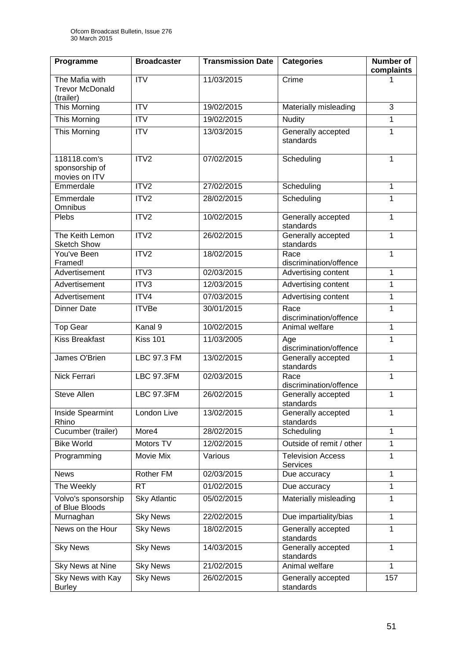| Programme                                             | <b>Broadcaster</b>  | <b>Transmission Date</b> | <b>Categories</b>                           | <b>Number of</b><br>complaints |
|-------------------------------------------------------|---------------------|--------------------------|---------------------------------------------|--------------------------------|
| The Mafia with<br><b>Trevor McDonald</b><br>(trailer) | <b>ITV</b>          | 11/03/2015               | Crime                                       | 1                              |
| <b>This Morning</b>                                   | $\overline{ITV}$    | 19/02/2015               | Materially misleading                       | $\overline{3}$                 |
| This Morning                                          | <b>ITV</b>          | 19/02/2015               | Nudity                                      | 1                              |
| This Morning                                          | <b>ITV</b>          | 13/03/2015               | Generally accepted<br>standards             | 1                              |
| 118118.com's<br>sponsorship of<br>movies on ITV       | ITV2                | 07/02/2015               | Scheduling                                  | $\mathbf{1}$                   |
| Emmerdale                                             | ITV2                | 27/02/2015               | Scheduling                                  | $\mathbf{1}$                   |
| Emmerdale<br>Omnibus                                  | ITV2                | 28/02/2015               | Scheduling                                  | 1                              |
| Plebs                                                 | ITV <sub>2</sub>    | 10/02/2015               | Generally accepted<br>standards             | $\mathbf{1}$                   |
| The Keith Lemon<br><b>Sketch Show</b>                 | ITV2                | 26/02/2015               | Generally accepted<br>standards             | $\overline{1}$                 |
| You've Been<br>Framed!                                | ITV2                | 18/02/2015               | Race<br>discrimination/offence              | 1                              |
| Advertisement                                         | ITV3                | 02/03/2015               | Advertising content                         | $\mathbf{1}$                   |
| Advertisement                                         | ITV3                | 12/03/2015               | Advertising content                         | 1                              |
| Advertisement                                         | ITV4                | 07/03/2015               | Advertising content                         | $\mathbf{1}$                   |
| <b>Dinner Date</b>                                    | <b>ITVBe</b>        | 30/01/2015               | Race<br>discrimination/offence              | $\mathbf{1}$                   |
| <b>Top Gear</b>                                       | Kanal 9             | 10/02/2015               | Animal welfare                              | $\mathbf{1}$                   |
| <b>Kiss Breakfast</b>                                 | <b>Kiss 101</b>     | 11/03/2005               | Age<br>discrimination/offence               | $\mathbf{1}$                   |
| James O'Brien                                         | LBC 97.3 FM         | 13/02/2015               | Generally accepted<br>standards             | $\mathbf{1}$                   |
| Nick Ferrari                                          | <b>LBC 97.3FM</b>   | 02/03/2015               | Race<br>discrimination/offence              | 1                              |
| <b>Steve Allen</b>                                    | <b>LBC 97.3FM</b>   | 26/02/2015               | Generally accepted<br>standards             | 1                              |
| Inside Spearmint<br>Rhino                             | London Live         | 13/02/2015               | Generally accepted<br>standards             | 1                              |
| Cucumber (trailer)                                    | More4               | 28/02/2015               | Scheduling                                  | 1                              |
| <b>Bike World</b>                                     | Motors TV           | 12/02/2015               | Outside of remit / other                    | $\mathbf{1}$                   |
| Programming                                           | Movie Mix           | Various                  | <b>Television Access</b><br><b>Services</b> | $\mathbf{1}$                   |
| <b>News</b>                                           | <b>Rother FM</b>    | 02/03/2015               | Due accuracy                                | $\mathbf{1}$                   |
| The Weekly                                            | <b>RT</b>           | 01/02/2015               | Due accuracy                                | $\mathbf{1}$                   |
| Volvo's sponsorship<br>of Blue Bloods                 | <b>Sky Atlantic</b> | 05/02/2015               | Materially misleading                       | 1                              |
| Murnaghan                                             | <b>Sky News</b>     | 22/02/2015               | Due impartiality/bias                       | $\mathbf{1}$                   |
| News on the Hour                                      | <b>Sky News</b>     | 18/02/2015               | Generally accepted<br>standards             | 1                              |
| <b>Sky News</b>                                       | <b>Sky News</b>     | 14/03/2015               | Generally accepted<br>standards             | $\mathbf{1}$                   |
| Sky News at Nine                                      | <b>Sky News</b>     | 21/02/2015               | Animal welfare                              | 1                              |
| Sky News with Kay<br><b>Burley</b>                    | <b>Sky News</b>     | 26/02/2015               | Generally accepted<br>standards             | 157                            |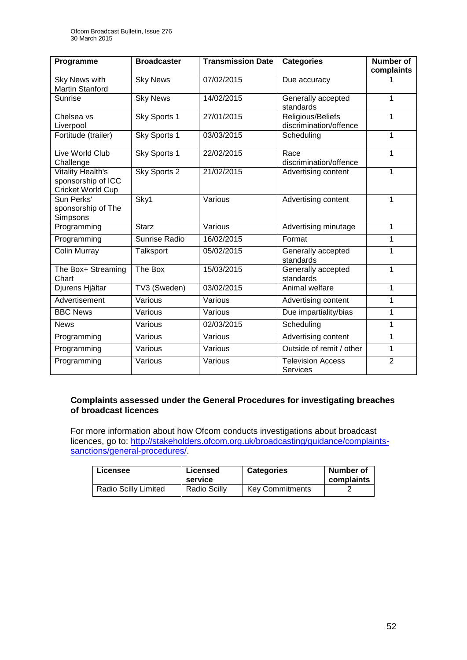| Programme                                                           | <b>Broadcaster</b> | <b>Transmission Date</b> | <b>Categories</b>                           | <b>Number of</b><br>complaints |
|---------------------------------------------------------------------|--------------------|--------------------------|---------------------------------------------|--------------------------------|
| <b>Sky News with</b><br><b>Martin Stanford</b>                      | <b>Sky News</b>    | 07/02/2015               | Due accuracy                                |                                |
| <b>Sunrise</b>                                                      | <b>Sky News</b>    | 14/02/2015               | Generally accepted<br>standards             | 1                              |
| Chelsea vs<br>Liverpool                                             | Sky Sports 1       | 27/01/2015               | Religious/Beliefs<br>discrimination/offence | 1                              |
| Fortitude (trailer)                                                 | Sky Sports 1       | 03/03/2015               | Scheduling                                  | 1                              |
| Live World Club<br>Challenge                                        | Sky Sports 1       | 22/02/2015               | Race<br>discrimination/offence              | 1                              |
| <b>Vitality Health's</b><br>sponsorship of ICC<br>Cricket World Cup | Sky Sports 2       | 21/02/2015               | Advertising content                         | 1                              |
| Sun Perks'<br>sponsorship of The<br>Simpsons                        | Sky1               | Various                  | Advertising content                         | 1                              |
| Programming                                                         | <b>Starz</b>       | Various                  | Advertising minutage                        | 1                              |
| Programming                                                         | Sunrise Radio      | 16/02/2015               | Format                                      | 1                              |
| <b>Colin Murray</b>                                                 | Talksport          | 05/02/2015               | Generally accepted<br>standards             | 1                              |
| The Box+ Streaming<br>Chart                                         | The Box            | 15/03/2015               | Generally accepted<br>standards             | 1                              |
| Djurens Hjältar                                                     | TV3 (Sweden)       | 03/02/2015               | Animal welfare                              | 1                              |
| Advertisement                                                       | Various            | Various                  | Advertising content                         | 1                              |
| <b>BBC News</b>                                                     | Various            | Various                  | Due impartiality/bias                       | 1                              |
| <b>News</b>                                                         | Various            | 02/03/2015               | Scheduling                                  | 1                              |
| Programming                                                         | Various            | Various                  | Advertising content                         | 1                              |
| Programming                                                         | Various            | Various                  | Outside of remit / other                    | 1                              |
| Programming                                                         | Various            | Various                  | <b>Television Access</b><br><b>Services</b> | $\overline{2}$                 |

## **Complaints assessed under the General Procedures for investigating breaches of broadcast licences**

For more information about how Ofcom conducts investigations about broadcast licences, go to: [http://stakeholders.ofcom.org.uk/broadcasting/guidance/complaints](http://stakeholders.ofcom.org.uk/broadcasting/guidance/complaints-sanctions/general-procedures/)[sanctions/general-procedures/.](http://stakeholders.ofcom.org.uk/broadcasting/guidance/complaints-sanctions/general-procedures/)

| Licensee             | Licensed<br>service | <b>Categories</b>      | Number of<br>complaints |
|----------------------|---------------------|------------------------|-------------------------|
| Radio Scilly Limited | <b>Radio Scilly</b> | <b>Key Commitments</b> |                         |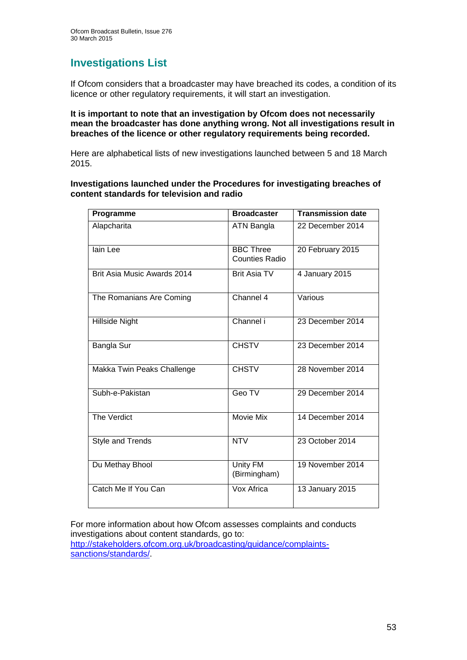## **Investigations List**

If Ofcom considers that a broadcaster may have breached its codes, a condition of its licence or other regulatory requirements, it will start an investigation.

**It is important to note that an investigation by Ofcom does not necessarily mean the broadcaster has done anything wrong. Not all investigations result in breaches of the licence or other regulatory requirements being recorded.**

Here are alphabetical lists of new investigations launched between 5 and 18 March 2015.

**Investigations launched under the Procedures for investigating breaches of content standards for television and radio**

| Programme                   | <b>Broadcaster</b>                        | <b>Transmission date</b> |
|-----------------------------|-------------------------------------------|--------------------------|
| Alapcharita                 | ATN Bangla                                | 22 December 2014         |
| lain Lee                    | <b>BBC Three</b><br><b>Counties Radio</b> | 20 February 2015         |
| Brit Asia Music Awards 2014 | <b>Brit Asia TV</b>                       | 4 January 2015           |
| The Romanians Are Coming    | Channel 4                                 | Various                  |
| Hillside Night              | Channel i                                 | 23 December 2014         |
| Bangla Sur                  | <b>CHSTV</b>                              | 23 December 2014         |
| Makka Twin Peaks Challenge  | <b>CHSTV</b>                              | 28 November 2014         |
| Subh-e-Pakistan             | Geo TV                                    | 29 December 2014         |
| The Verdict                 | <b>Movie Mix</b>                          | 14 December 2014         |
| <b>Style and Trends</b>     | <b>NTV</b>                                | 23 October 2014          |
| Du Methay Bhool             | Unity FM<br>(Birmingham)                  | 19 November 2014         |
| Catch Me If You Can         | Vox Africa                                | 13 January 2015          |

For more information about how Ofcom assesses complaints and conducts investigations about content standards, go to: [http://stakeholders.ofcom.org.uk/broadcasting/guidance/complaints](http://stakeholders.ofcom.org.uk/broadcasting/guidance/complaints-sanctions/standards/)[sanctions/standards/.](http://stakeholders.ofcom.org.uk/broadcasting/guidance/complaints-sanctions/standards/)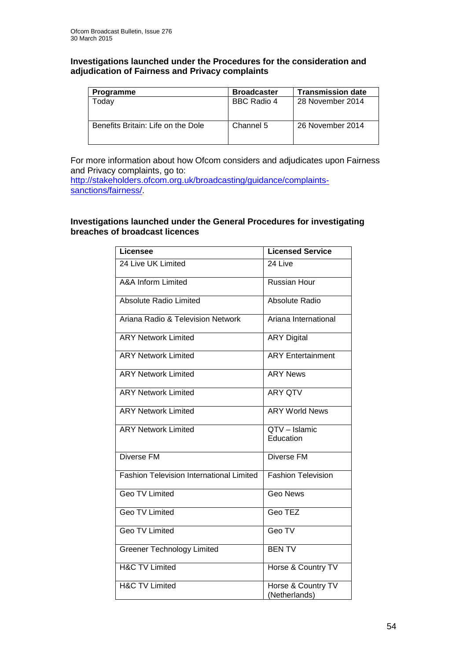#### **Investigations launched under the Procedures for the consideration and adjudication of Fairness and Privacy complaints**

| Programme                          | <b>Broadcaster</b> | <b>Transmission date</b> |
|------------------------------------|--------------------|--------------------------|
| Today                              | BBC Radio 4        | 28 November 2014         |
| Benefits Britain: Life on the Dole | Channel 5          | 26 November 2014         |

For more information about how Ofcom considers and adjudicates upon Fairness and Privacy complaints, go to:

[http://stakeholders.ofcom.org.uk/broadcasting/guidance/complaints](http://stakeholders.ofcom.org.uk/broadcasting/guidance/complaints-sanctions/fairness/)[sanctions/fairness/.](http://stakeholders.ofcom.org.uk/broadcasting/guidance/complaints-sanctions/fairness/)

#### **Investigations launched under the General Procedures for investigating breaches of broadcast licences**

| Licensee                                        | <b>Licensed Service</b>             |
|-------------------------------------------------|-------------------------------------|
| 24 Live UK Limited                              | 24 Live                             |
| A&A Inform Limited                              | <b>Russian Hour</b>                 |
| <b>Absolute Radio Limited</b>                   | Absolute Radio                      |
| Ariana Radio & Television Network               | Ariana International                |
| <b>ARY Network Limited</b>                      | <b>ARY Digital</b>                  |
| <b>ARY Network Limited</b>                      | <b>ARY Entertainment</b>            |
| <b>ARY Network Limited</b>                      | <b>ARY News</b>                     |
| <b>ARY Network Limited</b>                      | <b>ARY QTV</b>                      |
| <b>ARY Network Limited</b>                      | <b>ARY World News</b>               |
| <b>ARY Network Limited</b>                      | QTV - Islamic<br>Education          |
| Diverse FM                                      | Diverse FM                          |
| <b>Fashion Television International Limited</b> | <b>Fashion Television</b>           |
| Geo TV Limited                                  | <b>Geo News</b>                     |
| <b>Geo TV Limited</b>                           | Geo TEZ                             |
| Geo TV Limited                                  | Geo TV                              |
| <b>Greener Technology Limited</b>               | <b>BENTV</b>                        |
| <b>H&amp;C TV Limited</b>                       | Horse & Country TV                  |
| <b>H&amp;C TV Limited</b>                       | Horse & Country TV<br>(Netherlands) |